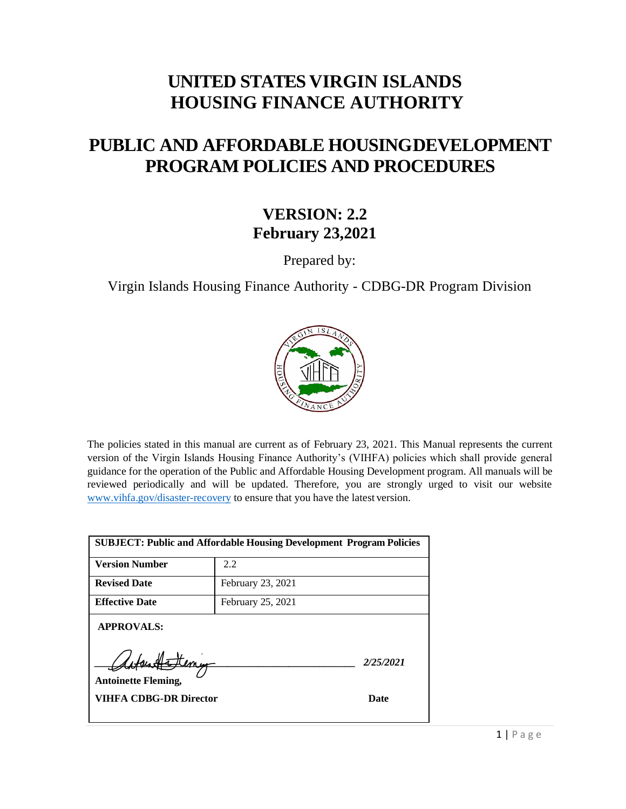## **UNITED STATES VIRGIN ISLANDS HOUSING FINANCE AUTHORITY**

# **PUBLIC AND AFFORDABLE HOUSINGDEVELOPMENT PROGRAM POLICIES AND PROCEDURES**

#### **VERSION: 2.2 February 23,2021**

Prepared by:

Virgin Islands Housing Finance Authority - CDBG-DR Program Division



The policies stated in this manual are current as of February 23, 2021. This Manual represents the current version of the Virgin Islands Housing Finance Authority's (VIHFA) policies which shall provide general guidance for the operation of the Public and Affordable Housing Development program. All manuals will be reviewed periodically and will be updated. Therefore, you are strongly urged to visit our website [www.vihfa.gov/disaster-recovery](http://www.vihfa.gov/disaster-recovery) to ensure that you have the latest version.

| <b>SUBJECT: Public and Affordable Housing Development Program Policies</b> |                   |  |
|----------------------------------------------------------------------------|-------------------|--|
| <b>Version Number</b>                                                      | 2.2               |  |
| <b>Revised Date</b>                                                        | February 23, 2021 |  |
| <b>Effective Date</b>                                                      | February 25, 2021 |  |
| <b>APPROVALS:</b><br>Flemy<br>2/25/2021<br><b>Antoinette Fleming,</b>      |                   |  |
| VIHFA CDBG-DR Director                                                     | Date              |  |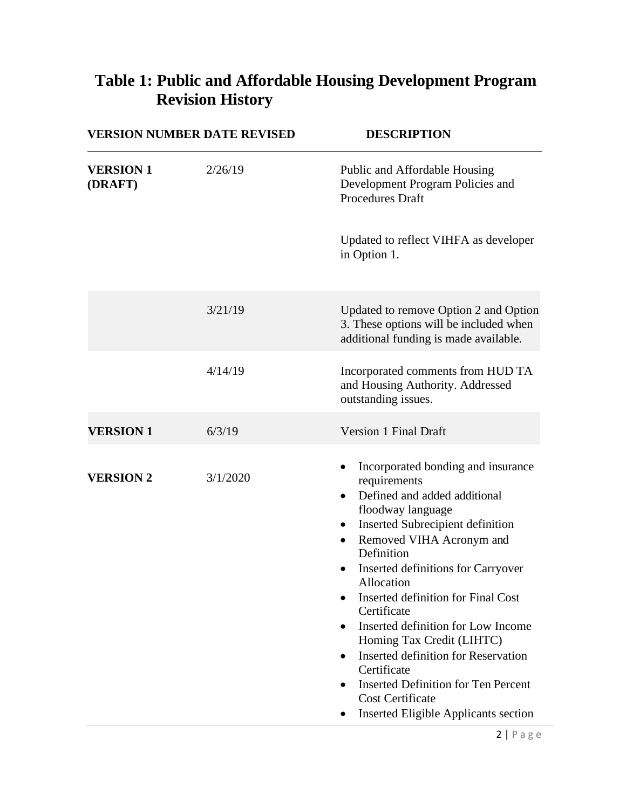| <b>VERSION NUMBER DATE REVISED</b> |          | <b>DESCRIPTION</b>                                                                                                                                                                                                                                                                                                                                                                                                                                                                                                                                                                               |  |
|------------------------------------|----------|--------------------------------------------------------------------------------------------------------------------------------------------------------------------------------------------------------------------------------------------------------------------------------------------------------------------------------------------------------------------------------------------------------------------------------------------------------------------------------------------------------------------------------------------------------------------------------------------------|--|
| <b>VERSION 1</b><br>(DRAFT)        | 2/26/19  | Public and Affordable Housing<br>Development Program Policies and<br><b>Procedures Draft</b>                                                                                                                                                                                                                                                                                                                                                                                                                                                                                                     |  |
|                                    |          | Updated to reflect VIHFA as developer<br>in Option 1.                                                                                                                                                                                                                                                                                                                                                                                                                                                                                                                                            |  |
|                                    | 3/21/19  | Updated to remove Option 2 and Option<br>3. These options will be included when<br>additional funding is made available.                                                                                                                                                                                                                                                                                                                                                                                                                                                                         |  |
|                                    | 4/14/19  | Incorporated comments from HUD TA<br>and Housing Authority. Addressed<br>outstanding issues.                                                                                                                                                                                                                                                                                                                                                                                                                                                                                                     |  |
| <b>VERSION 1</b>                   | 6/3/19   | Version 1 Final Draft                                                                                                                                                                                                                                                                                                                                                                                                                                                                                                                                                                            |  |
| <b>VERSION 2</b>                   | 3/1/2020 | Incorporated bonding and insurance<br>requirements<br>Defined and added additional<br>$\bullet$<br>floodway language<br>Inserted Subrecipient definition<br>$\bullet$<br>Removed VIHA Acronym and<br>Definition<br>Inserted definitions for Carryover<br>٠<br>Allocation<br>Inserted definition for Final Cost<br>Certificate<br>Inserted definition for Low Income<br>Homing Tax Credit (LIHTC)<br><b>Inserted definition for Reservation</b><br>٠<br>Certificate<br><b>Inserted Definition for Ten Percent</b><br>$\bullet$<br><b>Cost Certificate</b><br>Inserted Eligible Applicants section |  |

# <span id="page-1-0"></span>**Table 1: Public and Affordable Housing Development Program Revision History**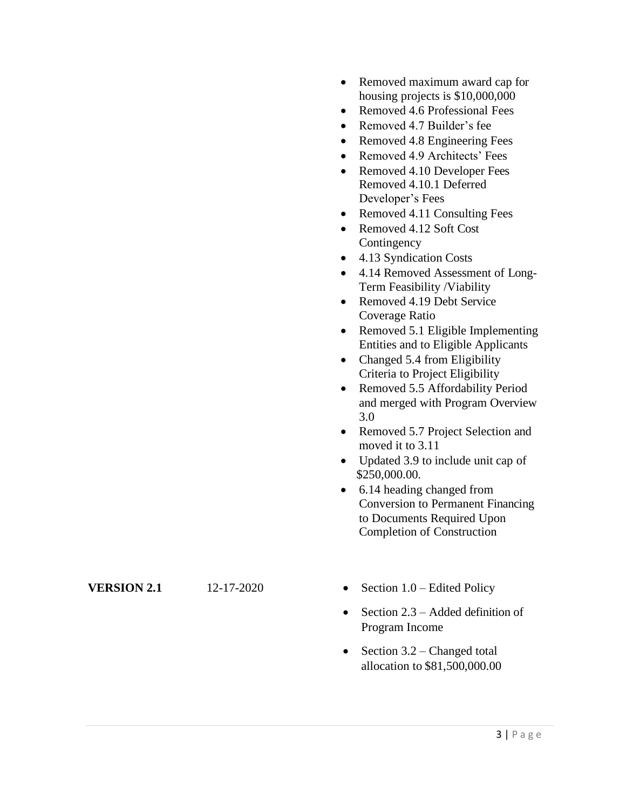- Removed maximum award cap for housing projects is \$10,000,000
- Removed 4.6 Professional Fees
- Removed 4.7 Builder's fee
- Removed 4.8 Engineering Fees
- Removed 4.9 Architects' Fees
- Removed 4.10 Developer Fees Removed 4.10.1 Deferred Developer's Fees
- Removed 4.11 Consulting Fees
- Removed 4.12 Soft Cost **Contingency**
- 4.13 Syndication Costs
- 4.14 Removed Assessment of Long-Term Feasibility /Viability
- Removed 4.19 Debt Service Coverage Ratio
- Removed 5.1 Eligible Implementing Entities and to Eligible Applicants
- Changed 5.4 from Eligibility Criteria to Project Eligibility
- Removed 5.5 Affordability Period and merged with Program Overview 3.0
- Removed 5.7 Project Selection and moved it to 3.11
- Updated 3.9 to include unit cap of \$250,000.00.
- 6.14 heading changed from Conversion to Permanent Financing to Documents Required Upon Completion of Construction

- **VERSION 2.1** 12-17-2020
- Section  $1.0$  Edited Policy
- Section  $2.3$  Added definition of Program Income
- Section  $3.2$  Changed total allocation to \$81,500,000.00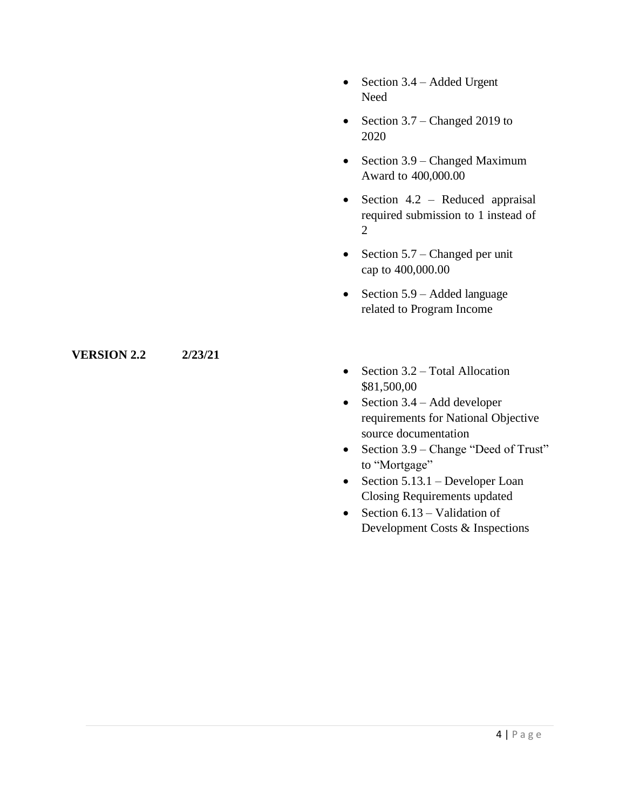- Section 3.4 Added Urgent Need
- Section  $3.7$  Changed 2019 to 2020
- Section 3.9 Changed Maximum Award to 400,000.00
- Section 4.2 Reduced appraisal required submission to 1 instead of 2
- Section  $5.7$  Changed per unit cap to 400,000.00
- Section 5.9 Added language related to Program Income

#### **VERSION 2.2 2/23/21**

- Section 3.2 Total Allocation \$81,500,00
- Section  $3.4 Add$  developer requirements for National Objective source documentation
- Section 3.9 Change "Deed of Trust" to "Mortgage"
- Section  $5.13.1$  Developer Loan Closing Requirements updated
- Section  $6.13 -$ Validation of Development Costs & Inspections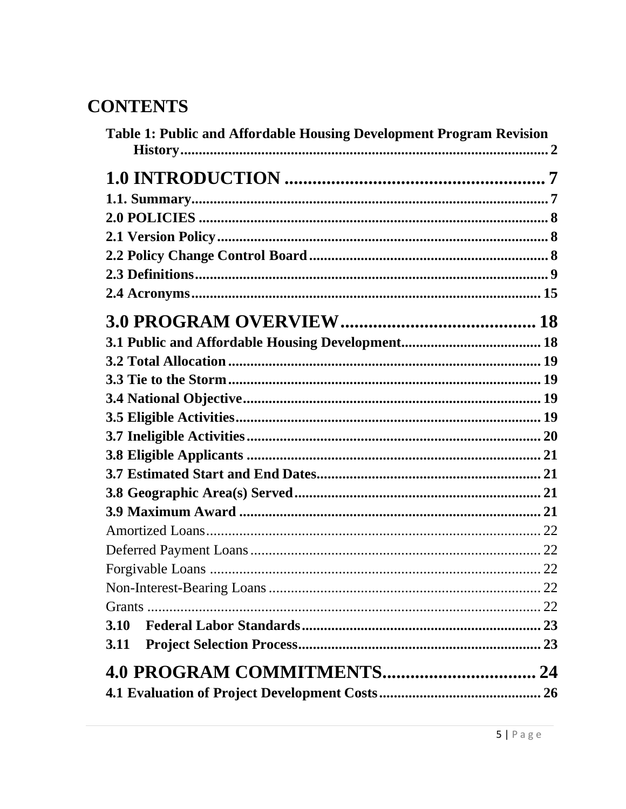# **CONTENTS**

| 3.10 |
|------|
| 3.11 |
|      |
|      |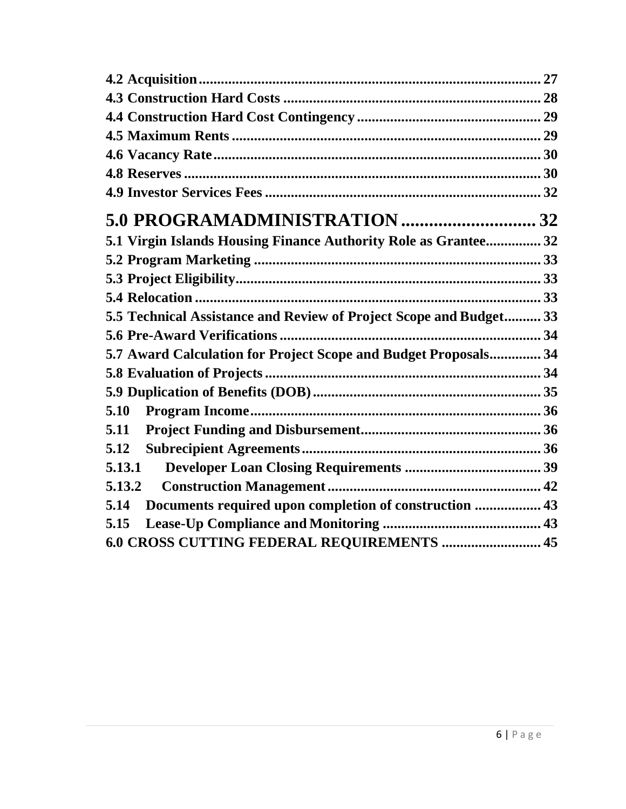| 5.1 Virgin Islands Housing Finance Authority Role as Grantee 32    |  |
|--------------------------------------------------------------------|--|
|                                                                    |  |
|                                                                    |  |
|                                                                    |  |
| 5.5 Technical Assistance and Review of Project Scope and Budget 33 |  |
|                                                                    |  |
| 5.7 Award Calculation for Project Scope and Budget Proposals 34    |  |
|                                                                    |  |
|                                                                    |  |
| 5.10                                                               |  |
| 5.11                                                               |  |
| 5.12                                                               |  |
| 5.13.1                                                             |  |
| 5.13.2                                                             |  |
| Documents required upon completion of construction  43<br>5.14     |  |
| 5.15                                                               |  |
| 6.0 CROSS CUTTING FEDERAL REQUIREMENTS  45                         |  |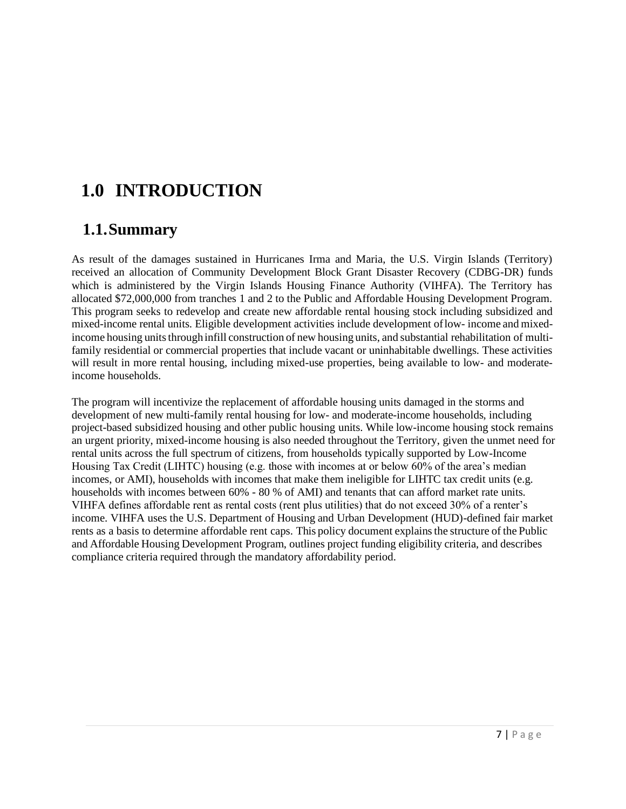# <span id="page-6-0"></span>**1.0 INTRODUCTION**

#### <span id="page-6-1"></span>**1.1.Summary**

As result of the damages sustained in Hurricanes Irma and Maria, the U.S. Virgin Islands (Territory) received an allocation of Community Development Block Grant Disaster Recovery (CDBG-DR) funds which is administered by the Virgin Islands Housing Finance Authority (VIHFA). The Territory has allocated \$72,000,000 from tranches 1 and 2 to the Public and Affordable Housing Development Program. This program seeks to redevelop and create new affordable rental housing stock including subsidized and mixed-income rental units. Eligible development activities include development oflow- income and mixedincome housing units through infill construction of new housing units, and substantial rehabilitation of multifamily residential or commercial properties that include vacant or uninhabitable dwellings. These activities will result in more rental housing, including mixed-use properties, being available to low- and moderateincome households.

The program will incentivize the replacement of affordable housing units damaged in the storms and development of new multi-family rental housing for low- and moderate-income households, including project-based subsidized housing and other public housing units. While low-income housing stock remains an urgent priority, mixed-income housing is also needed throughout the Territory, given the unmet need for rental units across the full spectrum of citizens, from households typically supported by Low-Income Housing Tax Credit (LIHTC) housing (e.g. those with incomes at or below 60% of the area's median incomes, or AMI), households with incomes that make them ineligible for LIHTC tax credit units (e.g. households with incomes between 60% - 80 % of AMI) and tenants that can afford market rate units. VIHFA defines affordable rent as rental costs (rent plus utilities) that do not exceed 30% of a renter's income. VIHFA uses the U.S. Department of Housing and Urban Development (HUD)-defined fair market rents as a basis to determine affordable rent caps. This policy document explainsthe structure of the Public and Affordable Housing Development Program, outlines project funding eligibility criteria, and describes compliance criteria required through the mandatory affordability period.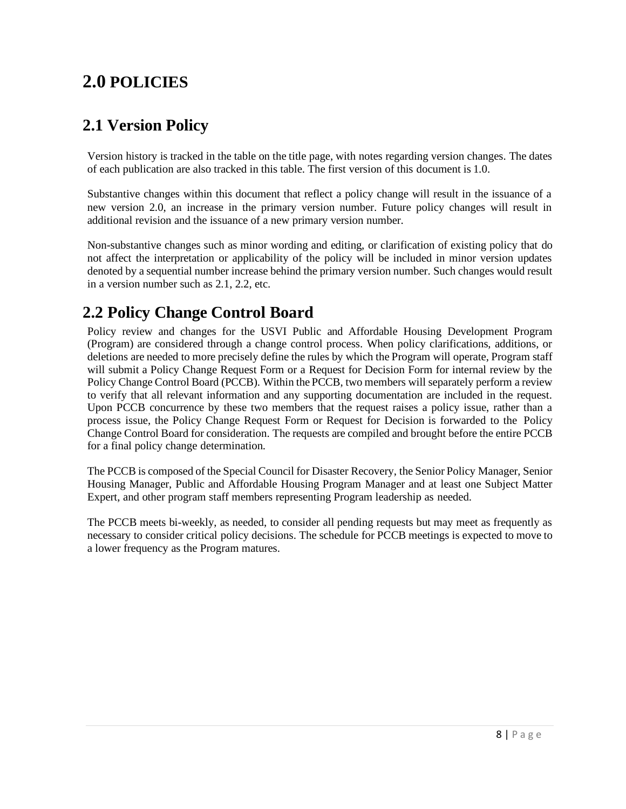# <span id="page-7-0"></span>**2.0 POLICIES**

## <span id="page-7-1"></span>**2.1 Version Policy**

Version history is tracked in the table on the title page, with notes regarding version changes. The dates of each publication are also tracked in this table. The first version of this document is 1.0.

Substantive changes within this document that reflect a policy change will result in the issuance of a new version 2.0, an increase in the primary version number. Future policy changes will result in additional revision and the issuance of a new primary version number.

Non-substantive changes such as minor wording and editing, or clarification of existing policy that do not affect the interpretation or applicability of the policy will be included in minor version updates denoted by a sequential number increase behind the primary version number. Such changes would result in a version number such as 2.1, 2.2, etc.

#### <span id="page-7-2"></span>**2.2 Policy Change Control Board**

Policy review and changes for the USVI Public and Affordable Housing Development Program (Program) are considered through a change control process. When policy clarifications, additions, or deletions are needed to more precisely define the rules by which the Program will operate, Program staff will submit a Policy Change Request Form or a Request for Decision Form for internal review by the Policy Change Control Board (PCCB). Within the PCCB, two members will separately perform a review to verify that all relevant information and any supporting documentation are included in the request. Upon PCCB concurrence by these two members that the request raises a policy issue, rather than a process issue, the Policy Change Request Form or Request for Decision is forwarded to the Policy Change Control Board for consideration. The requests are compiled and brought before the entire PCCB for a final policy change determination.

The PCCB is composed of the Special Council for Disaster Recovery, the Senior Policy Manager, Senior Housing Manager, Public and Affordable Housing Program Manager and at least one Subject Matter Expert, and other program staff members representing Program leadership as needed.

The PCCB meets bi-weekly, as needed, to consider all pending requests but may meet as frequently as necessary to consider critical policy decisions. The schedule for PCCB meetings is expected to move to a lower frequency as the Program matures.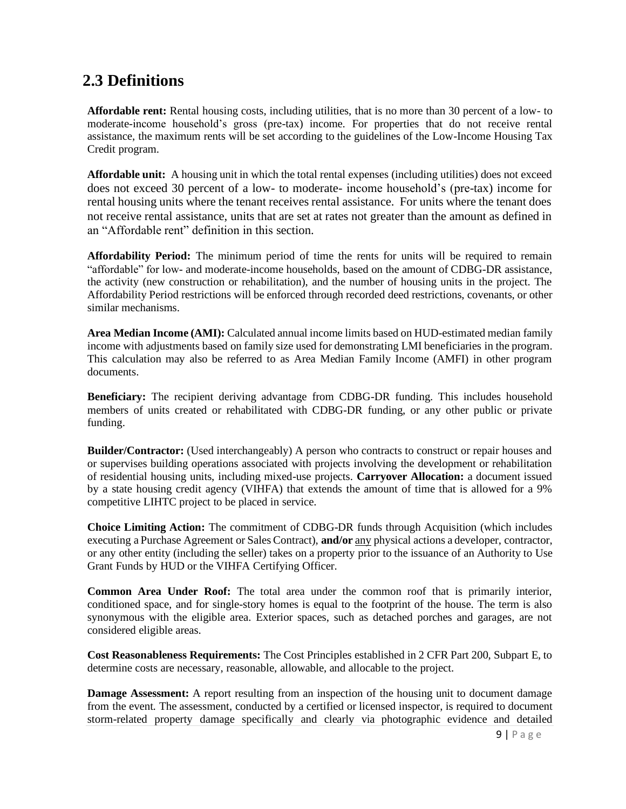#### <span id="page-8-0"></span>**2.3 Definitions**

**Affordable rent:** Rental housing costs, including utilities, that is no more than 30 percent of a low- to moderate-income household's gross (pre-tax) income. For properties that do not receive rental assistance, the maximum rents will be set according to the guidelines of the Low-Income Housing Tax Credit program.

**Affordable unit:** A housing unit in which the total rental expenses (including utilities) does not exceed does not exceed 30 percent of a low- to moderate- income household's (pre-tax) income for rental housing units where the tenant receives rental assistance. For units where the tenant does not receive rental assistance, units that are set at rates not greater than the amount as defined in an "Affordable rent" definition in this section.

**Affordability Period:** The minimum period of time the rents for units will be required to remain "affordable" for low- and moderate-income households, based on the amount of CDBG-DR assistance, the activity (new construction or rehabilitation), and the number of housing units in the project. The Affordability Period restrictions will be enforced through recorded deed restrictions, covenants, or other similar mechanisms.

**Area Median Income (AMI):** Calculated annual income limits based on HUD-estimated median family income with adjustments based on family size used for demonstrating LMI beneficiaries in the program. This calculation may also be referred to as Area Median Family Income (AMFI) in other program documents.

**Beneficiary:** The recipient deriving advantage from CDBG-DR funding. This includes household members of units created or rehabilitated with CDBG-DR funding, or any other public or private funding.

**Builder/Contractor:** (Used interchangeably) A person who contracts to construct or repair houses and or supervises building operations associated with projects involving the development or rehabilitation of residential housing units, including mixed-use projects. **Carryover Allocation:** a document issued by a state housing credit agency (VIHFA) that extends the amount of time that is allowed for a 9% competitive LIHTC project to be placed in service.

**Choice Limiting Action:** The commitment of CDBG-DR funds through Acquisition (which includes executing a Purchase Agreement or Sales Contract), **and/or** any physical actions a developer, contractor, or any other entity (including the seller) takes on a property prior to the issuance of an Authority to Use Grant Funds by HUD or the VIHFA Certifying Officer.

**Common Area Under Roof:** The total area under the common roof that is primarily interior, conditioned space, and for single-story homes is equal to the footprint of the house. The term is also synonymous with the eligible area. Exterior spaces, such as detached porches and garages, are not considered eligible areas.

**Cost Reasonableness Requirements:** The Cost Principles established in 2 CFR Part 200, Subpart E, to determine costs are necessary, reasonable, allowable, and allocable to the project.

**Damage Assessment:** A report resulting from an inspection of the housing unit to document damage from the event. The assessment, conducted by a certified or licensed inspector, is required to document storm-related property damage specifically and clearly via photographic evidence and detailed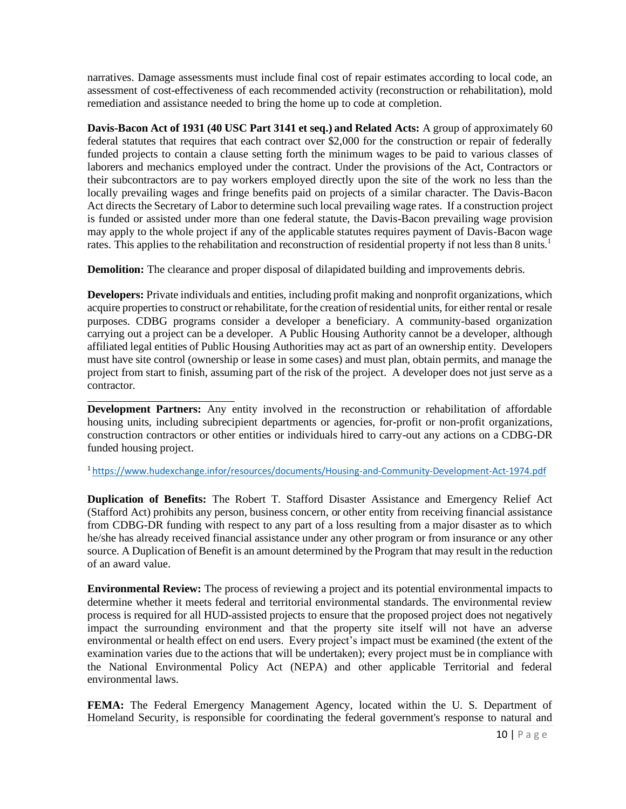narratives. Damage assessments must include final cost of repair estimates according to local code, an assessment of cost-effectiveness of each recommended activity (reconstruction or rehabilitation), mold remediation and assistance needed to bring the home up to code at completion.

**Davis-Bacon Act of 1931 (40 USC Part 3141 et seq.) and Related Acts:** A group of approximately 60 federal statutes that requires that each contract over \$2,000 for the construction or repair of federally funded projects to contain a clause setting forth the minimum wages to be paid to various classes of laborers and mechanics employed under the contract. Under the provisions of the Act, Contractors or their subcontractors are to pay workers employed directly upon the site of the work no less than the locally prevailing wages and fringe benefits paid on projects of a similar character. The Davis-Bacon Act directs the Secretary of Labor to determine such local prevailing wage rates. If a construction project is funded or assisted under more than one federal statute, the Davis-Bacon prevailing wage provision may apply to the whole project if any of the applicable statutes requires payment of Davis-Bacon wage rates. This applies to the rehabilitation and reconstruction of residential property if not less than 8 units.<sup>1</sup>

**Demolition:** The clearance and proper disposal of dilapidated building and improvements debris.

**Developers:** Private individuals and entities, including profit making and nonprofit organizations, which acquire properties to construct or rehabilitate, for the creation of residential units, for either rental or resale purposes. CDBG programs consider a developer a beneficiary. A community-based organization carrying out a project can be a developer. A Public Housing Authority cannot be a developer, although affiliated legal entities of Public Housing Authorities may act as part of an ownership entity. Developers must have site control (ownership or lease in some cases) and must plan, obtain permits, and manage the project from start to finish, assuming part of the risk of the project. A developer does not just serve as a contractor.

**Development Partners:** Any entity involved in the reconstruction or rehabilitation of affordable housing units, including subrecipient departments or agencies, for-profit or non-profit organizations, construction contractors or other entities or individuals hired to carry-out any actions on a CDBG-DR funded housing project.

<sup>1</sup><https://www.hudexchange.infor/resources/documents/Housing-and-Community-Development-Act-1974.pdf>

**Duplication of Benefits:** The Robert T. Stafford Disaster Assistance and Emergency Relief Act (Stafford Act) prohibits any person, business concern, or other entity from receiving financial assistance from CDBG-DR funding with respect to any part of a loss resulting from a major disaster as to which he/she has already received financial assistance under any other program or from insurance or any other source. A Duplication of Benefit is an amount determined by the Program that may result in the reduction of an award value.

**Environmental Review:** The process of reviewing a project and its potential environmental impacts to determine whether it meets federal and territorial environmental standards. The environmental review process is required for all HUD-assisted projects to ensure that the proposed project does not negatively impact the surrounding environment and that the property site itself will not have an adverse environmental or health effect on end users. Every project's impact must be examined (the extent of the examination varies due to the actions that will be undertaken); every project must be in compliance with the National Environmental Policy Act (NEPA) and other applicable Territorial and federal environmental laws.

FEMA: The Federal Emergency Management Agency, located within the U.S. Department of Homeland Security, is responsible for coordinating the federal government's response to natural and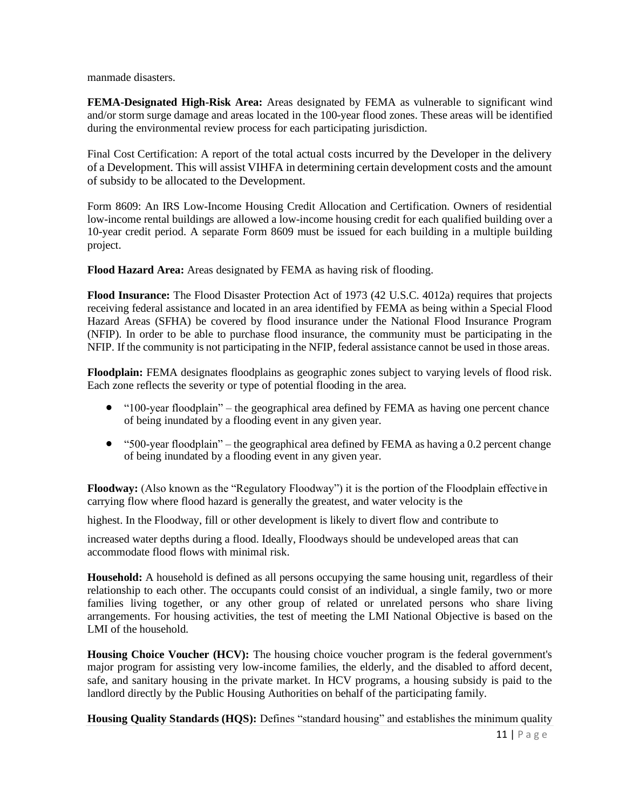manmade disasters.

**FEMA-Designated High-Risk Area:** Areas designated by FEMA as vulnerable to significant wind and/or storm surge damage and areas located in the 100-year flood zones. These areas will be identified during the environmental review process for each participating jurisdiction.

Final Cost Certification: A report of the total actual costs incurred by the Developer in the delivery of a Development. This will assist VIHFA in determining certain development costs and the amount of subsidy to be allocated to the Development.

Form 8609: An IRS Low-Income Housing Credit Allocation and Certification. Owners of residential low-income rental buildings are allowed a low-income housing credit for each qualified building over a 10-year credit period. A separate Form 8609 must be issued for each building in a multiple building project.

**Flood Hazard Area:** Areas designated by FEMA as having risk of flooding.

**Flood Insurance:** The Flood Disaster Protection Act of 1973 (42 U.S.C. 4012a) requires that projects receiving federal assistance and located in an area identified by FEMA as being within a Special Flood Hazard Areas (SFHA) be covered by flood insurance under the National Flood Insurance Program (NFIP). In order to be able to purchase flood insurance, the community must be participating in the NFIP. If the community is not participating in the NFIP, federal assistance cannot be used in those areas.

**Floodplain:** FEMA designates floodplains as geographic zones subject to varying levels of flood risk. Each zone reflects the severity or type of potential flooding in the area.

- "100-year floodplain" the geographical area defined by FEMA as having one percent chance of being inundated by a flooding event in any given year.
- "500-year floodplain" the geographical area defined by FEMA as having a 0.2 percent change of being inundated by a flooding event in any given year.

**Floodway:** (Also known as the "Regulatory Floodway") it is the portion of the Floodplain effective in carrying flow where flood hazard is generally the greatest, and water velocity is the

highest. In the Floodway, fill or other development is likely to divert flow and contribute to

increased water depths during a flood. Ideally, Floodways should be undeveloped areas that can accommodate flood flows with minimal risk.

**Household:** A household is defined as all persons occupying the same housing unit, regardless of their relationship to each other. The occupants could consist of an individual, a single family, two or more families living together, or any other group of related or unrelated persons who share living arrangements. For housing activities, the test of meeting the LMI National Objective is based on the LMI of the household.

**Housing Choice Voucher (HCV):** The housing choice voucher program is the federal government's major program for assisting very low-income families, the elderly, and the disabled to afford decent, safe, and sanitary housing in the private market. In HCV programs, a housing subsidy is paid to the landlord directly by the Public Housing Authorities on behalf of the participating family.

**Housing Quality Standards (HQS):** Defines "standard housing" and establishes the minimum quality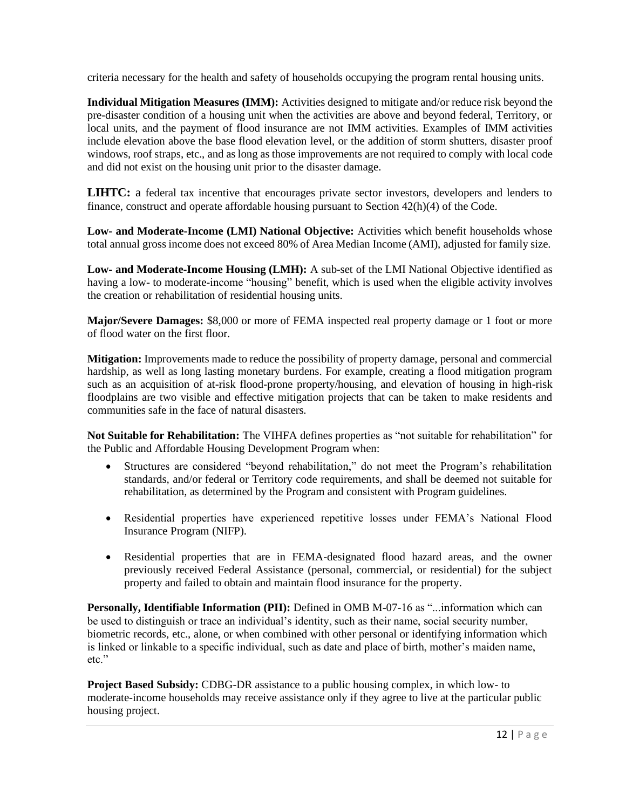criteria necessary for the health and safety of households occupying the program rental housing units.

**Individual Mitigation Measures (IMM):** Activities designed to mitigate and/or reduce risk beyond the pre-disaster condition of a housing unit when the activities are above and beyond federal, Territory, or local units, and the payment of flood insurance are not IMM activities. Examples of IMM activities include elevation above the base flood elevation level, or the addition of storm shutters, disaster proof windows, roof straps, etc., and as long as those improvements are not required to comply with local code and did not exist on the housing unit prior to the disaster damage.

**LIHTC:** a federal tax incentive that encourages private sector investors, developers and lenders to finance, construct and operate affordable housing pursuant to Section 42(h)(4) of the Code.

**Low- and Moderate-Income (LMI) National Objective:** Activities which benefit households whose total annual gross income does not exceed 80% of Area Median Income (AMI), adjusted for family size.

**Low- and Moderate-Income Housing (LMH):** A sub-set of the LMI National Objective identified as having a low- to moderate-income "housing" benefit, which is used when the eligible activity involves the creation or rehabilitation of residential housing units.

**Major/Severe Damages:** \$8,000 or more of FEMA inspected real property damage or 1 foot or more of flood water on the first floor.

**Mitigation:** Improvements made to reduce the possibility of property damage, personal and commercial hardship, as well as long lasting monetary burdens. For example, creating a flood mitigation program such as an acquisition of at-risk flood-prone property/housing, and elevation of housing in high-risk floodplains are two visible and effective mitigation projects that can be taken to make residents and communities safe in the face of natural disasters.

**Not Suitable for Rehabilitation:** The VIHFA defines properties as "not suitable for rehabilitation" for the Public and Affordable Housing Development Program when:

- Structures are considered "beyond rehabilitation," do not meet the Program's rehabilitation standards, and/or federal or Territory code requirements, and shall be deemed not suitable for rehabilitation, as determined by the Program and consistent with Program guidelines.
- Residential properties have experienced repetitive losses under FEMA's National Flood Insurance Program (NIFP).
- Residential properties that are in FEMA-designated flood hazard areas, and the owner previously received Federal Assistance (personal, commercial, or residential) for the subject property and failed to obtain and maintain flood insurance for the property.

**Personally, Identifiable Information (PII):** Defined in OMB M-07-16 as "...information which can be used to distinguish or trace an individual's identity, such as their name, social security number, biometric records, etc., alone, or when combined with other personal or identifying information which is linked or linkable to a specific individual, such as date and place of birth, mother's maiden name, etc."

**Project Based Subsidy:** CDBG-DR assistance to a public housing complex, in which low- to moderate-income households may receive assistance only if they agree to live at the particular public housing project.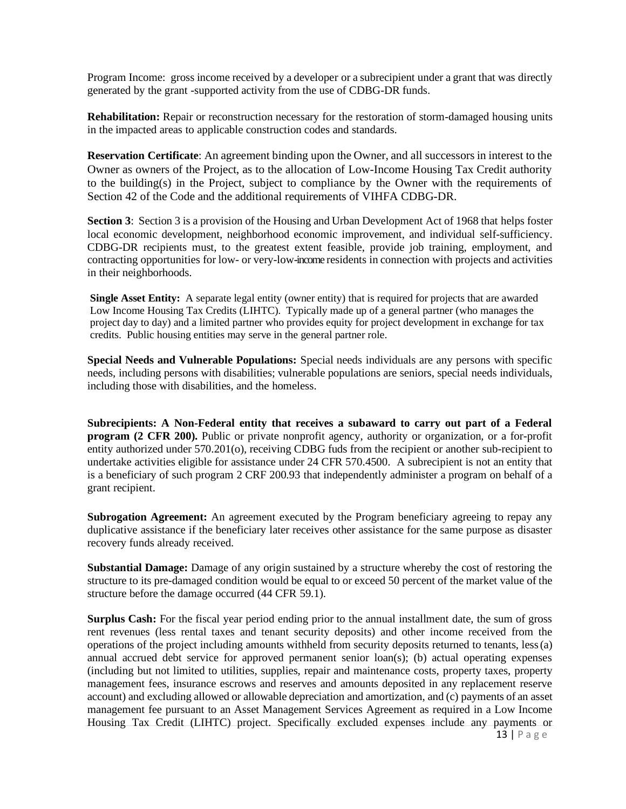Program Income: gross income received by a developer or a subrecipient under a grant that was directly generated by the grant -supported activity from the use of CDBG-DR funds.

**Rehabilitation:** Repair or reconstruction necessary for the restoration of storm-damaged housing units in the impacted areas to applicable construction codes and standards.

**Reservation Certificate**: An agreement binding upon the Owner, and all successors in interest to the Owner as owners of the Project, as to the allocation of Low-Income Housing Tax Credit authority to the building(s) in the Project, subject to compliance by the Owner with the requirements of Section 42 of the Code and the additional requirements of VIHFA CDBG-DR.

**Section 3:** Section 3 is a provision of the Housing and Urban Development Act of 1968 that helps foster local economic development, neighborhood economic improvement, and individual self-sufficiency. CDBG-DR recipients must, to the greatest extent feasible, provide job training, employment, and contracting opportunities for low- or very-low-income residents in connection with projects and activities in their neighborhoods.

**Single Asset Entity:** A separate legal entity (owner entity) that is required for projects that are awarded Low Income Housing Tax Credits (LIHTC). Typically made up of a general partner (who manages the project day to day) and a limited partner who provides equity for project development in exchange for tax credits. Public housing entities may serve in the general partner role.

**Special Needs and Vulnerable Populations:** Special needs individuals are any persons with specific needs, including persons with disabilities; vulnerable populations are seniors, special needs individuals, including those with disabilities, and the homeless.

**Subrecipients: A Non-Federal entity that receives a subaward to carry out part of a Federal program (2 CFR 200).** Public or private nonprofit agency, authority or organization, or a for-profit entity authorized under 570.201(o), receiving CDBG fuds from the recipient or another sub-recipient to undertake activities eligible for assistance under 24 CFR 570.4500. A subrecipient is not an entity that is a beneficiary of such program 2 CRF 200.93 that independently administer a program on behalf of a grant recipient.

**Subrogation Agreement:** An agreement executed by the Program beneficiary agreeing to repay any duplicative assistance if the beneficiary later receives other assistance for the same purpose as disaster recovery funds already received.

**Substantial Damage:** Damage of any origin sustained by a structure whereby the cost of restoring the structure to its pre-damaged condition would be equal to or exceed 50 percent of the market value of the structure before the damage occurred (44 CFR 59.1).

**Surplus Cash:** For the fiscal year period ending prior to the annual installment date, the sum of gross rent revenues (less rental taxes and tenant security deposits) and other income received from the operations of the project including amounts withheld from security deposits returned to tenants, less(a) annual accrued debt service for approved permanent senior loan(s); (b) actual operating expenses (including but not limited to utilities, supplies, repair and maintenance costs, property taxes, property management fees, insurance escrows and reserves and amounts deposited in any replacement reserve account) and excluding allowed or allowable depreciation and amortization, and (c) payments of an asset management fee pursuant to an Asset Management Services Agreement as required in a Low Income Housing Tax Credit (LIHTC) project. Specifically excluded expenses include any payments or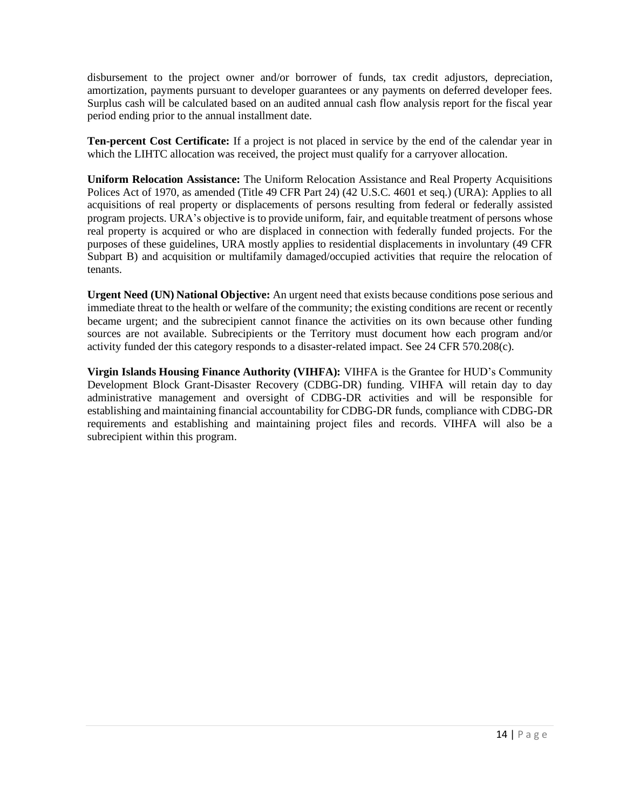disbursement to the project owner and/or borrower of funds, tax credit adjustors, depreciation, amortization, payments pursuant to developer guarantees or any payments on deferred developer fees. Surplus cash will be calculated based on an audited annual cash flow analysis report for the fiscal year period ending prior to the annual installment date.

**Ten-percent Cost Certificate:** If a project is not placed in service by the end of the calendar year in which the LIHTC allocation was received, the project must qualify for a carryover allocation.

**Uniform Relocation Assistance:** The Uniform Relocation Assistance and Real Property Acquisitions Polices Act of 1970, as amended (Title 49 CFR Part 24) (42 U.S.C. 4601 et seq.) (URA): Applies to all acquisitions of real property or displacements of persons resulting from federal or federally assisted program projects. URA's objective is to provide uniform, fair, and equitable treatment of persons whose real property is acquired or who are displaced in connection with federally funded projects. For the purposes of these guidelines, URA mostly applies to residential displacements in involuntary (49 CFR Subpart B) and acquisition or multifamily damaged/occupied activities that require the relocation of tenants.

**Urgent Need (UN) National Objective:** An urgent need that exists because conditions pose serious and immediate threat to the health or welfare of the community; the existing conditions are recent or recently became urgent; and the subrecipient cannot finance the activities on its own because other funding sources are not available. Subrecipients or the Territory must document how each program and/or activity funded der this category responds to a disaster-related impact. See 24 CFR 570.208(c).

**Virgin Islands Housing Finance Authority (VIHFA):** VIHFA is the Grantee for HUD's Community Development Block Grant-Disaster Recovery (CDBG-DR) funding. VIHFA will retain day to day administrative management and oversight of CDBG-DR activities and will be responsible for establishing and maintaining financial accountability for CDBG-DR funds, compliance with CDBG-DR requirements and establishing and maintaining project files and records. VIHFA will also be a subrecipient within this program.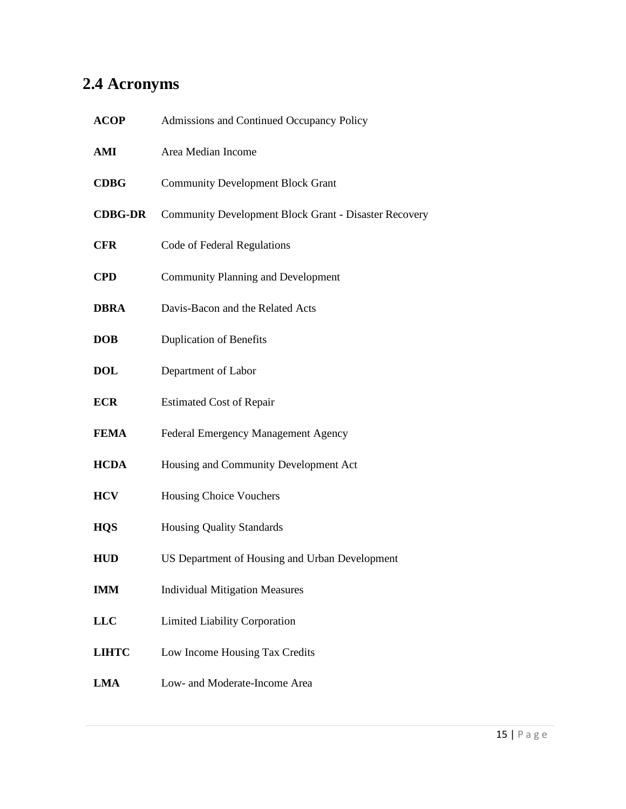# <span id="page-14-0"></span>**2.4 Acronyms**

| <b>ACOP</b>    | Admissions and Continued Occupancy Policy                    |
|----------------|--------------------------------------------------------------|
| AMI            | Area Median Income                                           |
| <b>CDBG</b>    | <b>Community Development Block Grant</b>                     |
| <b>CDBG-DR</b> | <b>Community Development Block Grant - Disaster Recovery</b> |
| <b>CFR</b>     | Code of Federal Regulations                                  |
| <b>CPD</b>     | <b>Community Planning and Development</b>                    |
| <b>DBRA</b>    | Davis-Bacon and the Related Acts                             |
| <b>DOB</b>     | <b>Duplication of Benefits</b>                               |
| DOL            | Department of Labor                                          |
| ECR            | <b>Estimated Cost of Repair</b>                              |
| <b>FEMA</b>    | Federal Emergency Management Agency                          |
| <b>HCDA</b>    | Housing and Community Development Act                        |
| HCV            | <b>Housing Choice Vouchers</b>                               |
| <b>HQS</b>     | <b>Housing Quality Standards</b>                             |
| <b>HUD</b>     | US Department of Housing and Urban Development               |
| IMM            | <b>Individual Mitigation Measures</b>                        |
| $_{\rm LLC}$   | Limited Liability Corporation                                |
| <b>LIHTC</b>   | Low Income Housing Tax Credits                               |
| LMA            | Low- and Moderate-Income Area                                |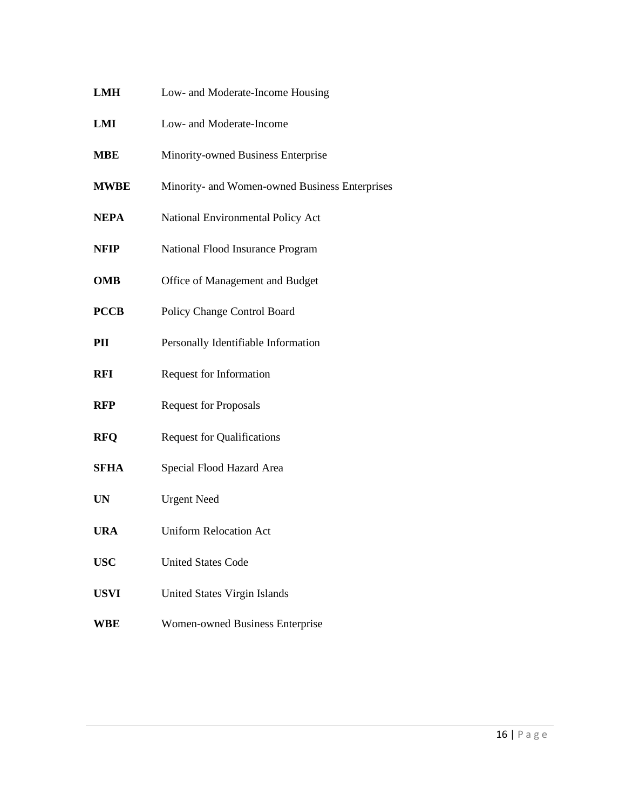- **LMH** Low- and Moderate-Income Housing
- **LMI** Low- and Moderate-Income
- **MBE** Minority-owned Business Enterprise
- **MWBE** Minority- and Women-owned Business Enterprises
- **NEPA** National Environmental Policy Act
- **NFIP** National Flood Insurance Program
- **OMB** Office of Management and Budget
- **PCCB** Policy Change Control Board
- **PII** Personally Identifiable Information
- **RFI** Request for Information
- **RFP** Request for Proposals
- **RFQ** Request for Qualifications
- **SFHA** Special Flood Hazard Area
- **UN** Urgent Need
- **URA** Uniform Relocation Act
- **USC** United States Code
- **USVI** United States Virgin Islands
- **WBE** Women-owned Business Enterprise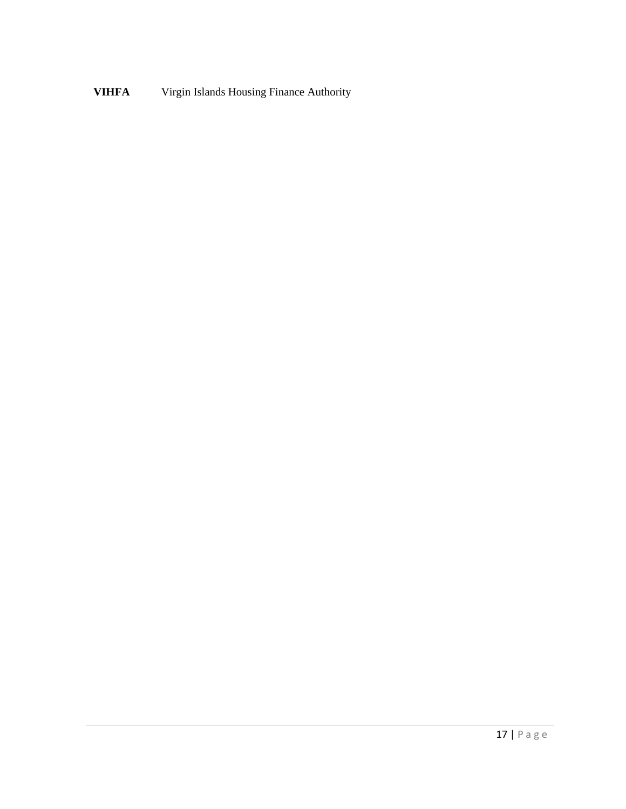**VIHFA** Virgin Islands Housing Finance Authority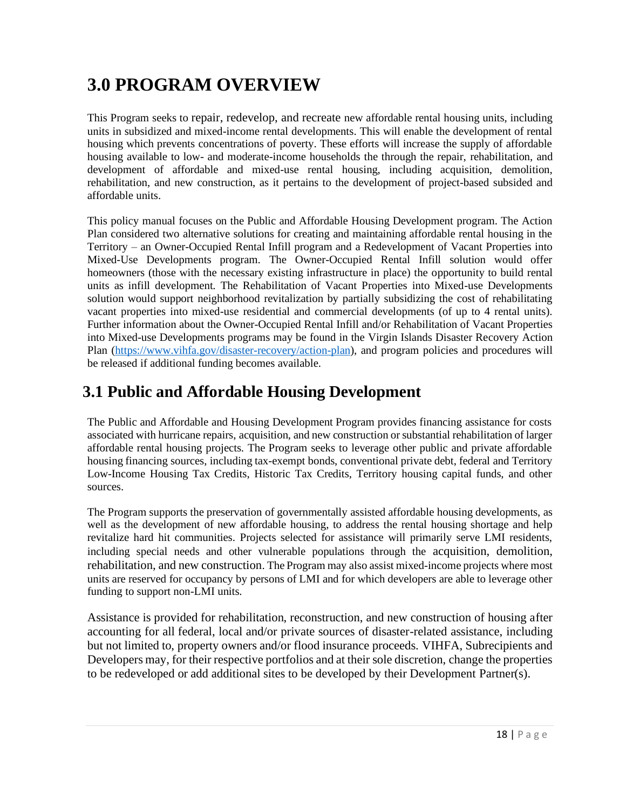# <span id="page-17-0"></span>**3.0 PROGRAM OVERVIEW**

This Program seeks to repair, redevelop, and recreate new affordable rental housing units, including units in subsidized and mixed-income rental developments. This will enable the development of rental housing which prevents concentrations of poverty. These efforts will increase the supply of affordable housing available to low- and moderate-income households the through the repair, rehabilitation, and development of affordable and mixed-use rental housing, including acquisition, demolition, rehabilitation, and new construction, as it pertains to the development of project-based subsided and affordable units.

This policy manual focuses on the Public and Affordable Housing Development program. The Action Plan considered two alternative solutions for creating and maintaining affordable rental housing in the Territory – an Owner-Occupied Rental Infill program and a Redevelopment of Vacant Properties into Mixed-Use Developments program. The Owner-Occupied Rental Infill solution would offer homeowners (those with the necessary existing infrastructure in place) the opportunity to build rental units as infill development. The Rehabilitation of Vacant Properties into Mixed-use Developments solution would support neighborhood revitalization by partially subsidizing the cost of rehabilitating vacant properties into mixed-use residential and commercial developments (of up to 4 rental units). Further information about the Owner-Occupied Rental Infill and/or Rehabilitation of Vacant Properties into Mixed-use Developments programs may be found in the Virgin Islands Disaster Recovery Action Plan [\(https://www.vihfa.gov/disaster-recovery/action-plan\)](https://www.vihfa.gov/disaster-recovery/action-plan), and program policies and procedures will be released if additional funding becomes available.

## <span id="page-17-1"></span>**3.1 Public and Affordable Housing Development**

The Public and Affordable and Housing Development Program provides financing assistance for costs associated with hurricane repairs, acquisition, and new construction orsubstantial rehabilitation of larger affordable rental housing projects. The Program seeks to leverage other public and private affordable housing financing sources, including tax-exempt bonds, conventional private debt, federal and Territory Low-Income Housing Tax Credits, Historic Tax Credits, Territory housing capital funds, and other sources.

The Program supports the preservation of governmentally assisted affordable housing developments, as well as the development of new affordable housing, to address the rental housing shortage and help revitalize hard hit communities. Projects selected for assistance will primarily serve LMI residents, including special needs and other vulnerable populations through the acquisition, demolition, rehabilitation, and new construction. The Program may also assist mixed-income projects where most units are reserved for occupancy by persons of LMI and for which developers are able to leverage other funding to support non-LMI units.

Assistance is provided for rehabilitation, reconstruction, and new construction of housing after accounting for all federal, local and/or private sources of disaster-related assistance, including but not limited to, property owners and/or flood insurance proceeds. VIHFA, Subrecipients and Developers may, for their respective portfolios and at their sole discretion, change the properties to be redeveloped or add additional sites to be developed by their Development Partner(s).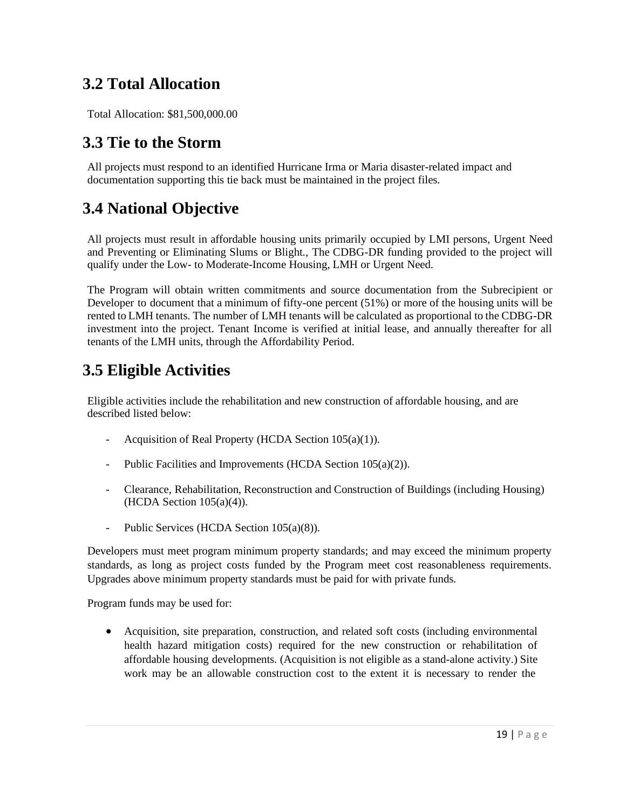## <span id="page-18-0"></span>**3.2 Total Allocation**

Total Allocation: \$81,500,000.00

#### <span id="page-18-1"></span>**3.3 Tie to the Storm**

All projects must respond to an identified Hurricane Irma or Maria disaster-related impact and documentation supporting this tie back must be maintained in the project files.

#### <span id="page-18-2"></span>**3.4 National Objective**

All projects must result in affordable housing units primarily occupied by LMI persons, Urgent Need and Preventing or Eliminating Slums or Blight., The CDBG-DR funding provided to the project will qualify under the Low- to Moderate-Income Housing, LMH or Urgent Need.

The Program will obtain written commitments and source documentation from the Subrecipient or Developer to document that a minimum of fifty-one percent (51%) or more of the housing units will be rented to LMH tenants. The number of LMH tenants will be calculated as proportional to the CDBG-DR investment into the project. Tenant Income is verified at initial lease, and annually thereafter for all tenants of the LMH units, through the Affordability Period.

## <span id="page-18-3"></span>**3.5 Eligible Activities**

Eligible activities include the rehabilitation and new construction of affordable housing, and are described listed below:

- Acquisition of Real Property (HCDA Section 105(a)(1)).
- Public Facilities and Improvements (HCDA Section 105(a)(2)).
- Clearance, Rehabilitation, Reconstruction and Construction of Buildings (including Housing)  $(HCDA Section 105(a)(4)).$
- Public Services (HCDA Section 105(a)(8)).

Developers must meet program minimum property standards; and may exceed the minimum property standards, as long as project costs funded by the Program meet cost reasonableness requirements. Upgrades above minimum property standards must be paid for with private funds.

Program funds may be used for:

• Acquisition, site preparation, construction, and related soft costs (including environmental health hazard mitigation costs) required for the new construction or rehabilitation of affordable housing developments. (Acquisition is not eligible as a stand-alone activity.) Site work may be an allowable construction cost to the extent it is necessary to render the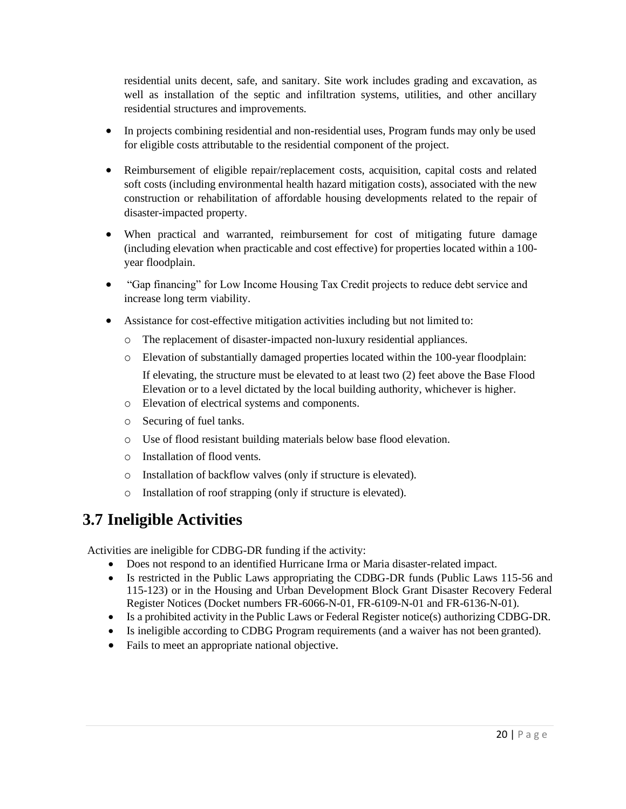residential units decent, safe, and sanitary. Site work includes grading and excavation, as well as installation of the septic and infiltration systems, utilities, and other ancillary residential structures and improvements.

- In projects combining residential and non-residential uses, Program funds may only be used for eligible costs attributable to the residential component of the project.
- Reimbursement of eligible repair/replacement costs, acquisition, capital costs and related soft costs (including environmental health hazard mitigation costs), associated with the new construction or rehabilitation of affordable housing developments related to the repair of disaster-impacted property.
- When practical and warranted, reimbursement for cost of mitigating future damage (including elevation when practicable and cost effective) for properties located within a 100 year floodplain.
- "Gap financing" for Low Income Housing Tax Credit projects to reduce debt service and increase long term viability.
- Assistance for cost-effective mitigation activities including but not limited to:
	- o The replacement of disaster-impacted non-luxury residential appliances.
	- o Elevation of substantially damaged properties located within the 100-year floodplain: If elevating, the structure must be elevated to at least two (2) feet above the Base Flood Elevation or to a level dictated by the local building authority, whichever is higher.
	- o Elevation of electrical systems and components.
	- o Securing of fuel tanks.
	- o Use of flood resistant building materials below base flood elevation.
	- o Installation of flood vents.
	- o Installation of backflow valves (only if structure is elevated).
	- o Installation of roof strapping (only if structure is elevated).

### <span id="page-19-0"></span>**3.7 Ineligible Activities**

Activities are ineligible for CDBG-DR funding if the activity:

- Does not respond to an identified Hurricane Irma or Maria disaster-related impact.
- Is restricted in the Public Laws appropriating the CDBG-DR funds (Public Laws 115-56 and 115-123) or in the Housing and Urban Development Block Grant Disaster Recovery Federal Register Notices (Docket numbers FR-6066-N-01, FR-6109-N-01 and FR-6136-N-01).
- Is a prohibited activity in the Public Laws or Federal Register notice(s) authorizing CDBG-DR.
- Is ineligible according to CDBG Program requirements (and a waiver has not been granted).
- Fails to meet an appropriate national objective.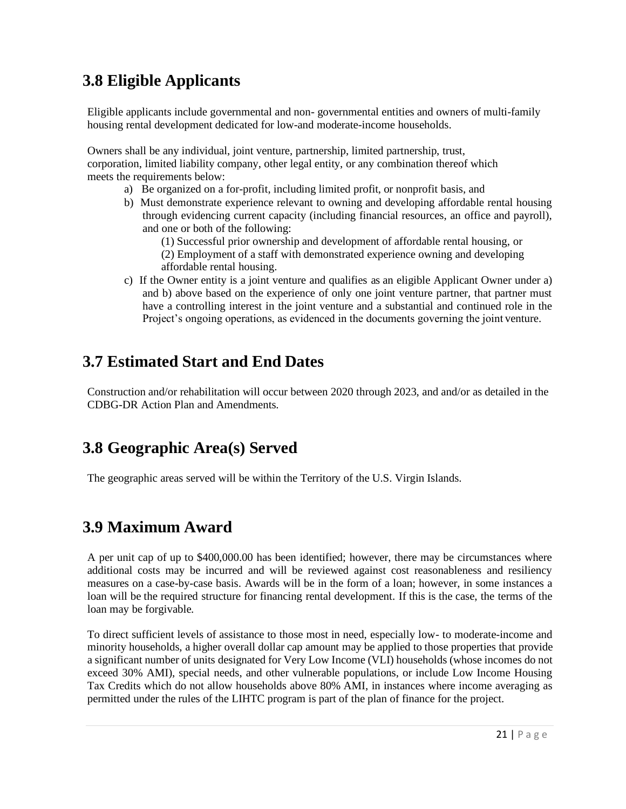## <span id="page-20-0"></span>**3.8 Eligible Applicants**

Eligible applicants include governmental and non- governmental entities and owners of multi-family housing rental development dedicated for low-and moderate-income households.

Owners shall be any individual, joint venture, partnership, limited partnership, trust, corporation, limited liability company, other legal entity, or any combination thereof which meets the requirements below:

- a) Be organized on a for-profit, including limited profit, or nonprofit basis, and
- b) Must demonstrate experience relevant to owning and developing affordable rental housing through evidencing current capacity (including financial resources, an office and payroll), and one or both of the following:
	- (1) Successful prior ownership and development of affordable rental housing, or
	- (2) Employment of a staff with demonstrated experience owning and developing affordable rental housing.
- c) If the Owner entity is a joint venture and qualifies as an eligible Applicant Owner under a) and b) above based on the experience of only one joint venture partner, that partner must have a controlling interest in the joint venture and a substantial and continued role in the Project's ongoing operations, as evidenced in the documents governing the joint venture.

#### <span id="page-20-1"></span>**3.7 Estimated Start and End Dates**

Construction and/or rehabilitation will occur between 2020 through 2023, and and/or as detailed in the CDBG-DR Action Plan and Amendments.

### <span id="page-20-2"></span>**3.8 Geographic Area(s) Served**

The geographic areas served will be within the Territory of the U.S. Virgin Islands.

### <span id="page-20-3"></span>**3.9 Maximum Award**

A per unit cap of up to \$400,000.00 has been identified; however, there may be circumstances where additional costs may be incurred and will be reviewed against cost reasonableness and resiliency measures on a case-by-case basis. Awards will be in the form of a loan; however, in some instances a loan will be the required structure for financing rental development. If this is the case, the terms of the loan may be forgivable.

To direct sufficient levels of assistance to those most in need, especially low- to moderate-income and minority households, a higher overall dollar cap amount may be applied to those properties that provide a significant number of units designated for Very Low Income (VLI) households (whose incomes do not exceed 30% AMI), special needs, and other vulnerable populations, or include Low Income Housing Tax Credits which do not allow households above 80% AMI, in instances where income averaging as permitted under the rules of the LIHTC program is part of the plan of finance for the project.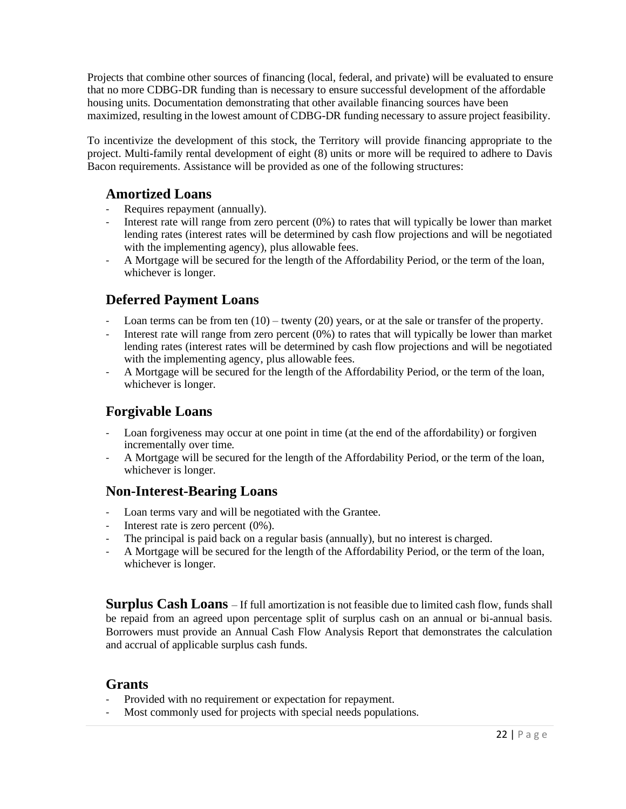Projects that combine other sources of financing (local, federal, and private) will be evaluated to ensure that no more CDBG-DR funding than is necessary to ensure successful development of the affordable housing units. Documentation demonstrating that other available financing sources have been maximized, resulting in the lowest amount of CDBG-DR funding necessary to assure project feasibility.

To incentivize the development of this stock, the Territory will provide financing appropriate to the project. Multi-family rental development of eight (8) units or more will be required to adhere to Davis Bacon requirements. Assistance will be provided as one of the following structures:

#### <span id="page-21-0"></span>**Amortized Loans**

- Requires repayment (annually).
- Interest rate will range from zero percent (0%) to rates that will typically be lower than market lending rates (interest rates will be determined by cash flow projections and will be negotiated with the implementing agency), plus allowable fees.
- A Mortgage will be secured for the length of the Affordability Period, or the term of the loan, whichever is longer.

#### <span id="page-21-1"></span>**Deferred Payment Loans**

- Loan terms can be from ten  $(10)$  twenty  $(20)$  years, or at the sale or transfer of the property.
- Interest rate will range from zero percent  $(0%)$  to rates that will typically be lower than market lending rates (interest rates will be determined by cash flow projections and will be negotiated with the implementing agency, plus allowable fees.
- A Mortgage will be secured for the length of the Affordability Period, or the term of the loan, whichever is longer.

#### <span id="page-21-2"></span>**Forgivable Loans**

- Loan forgiveness may occur at one point in time (at the end of the affordability) or forgiven incrementally over time.
- A Mortgage will be secured for the length of the Affordability Period, or the term of the loan, whichever is longer.

#### <span id="page-21-3"></span>**Non-Interest-Bearing Loans**

- Loan terms vary and will be negotiated with the Grantee.
- Interest rate is zero percent  $(0\%)$ .
- The principal is paid back on a regular basis (annually), but no interest is charged.
- A Mortgage will be secured for the length of the Affordability Period, or the term of the loan, whichever is longer.

**Surplus Cash Loans** – If full amortization is not feasible due to limited cash flow, funds shall be repaid from an agreed upon percentage split of surplus cash on an annual or bi-annual basis. Borrowers must provide an Annual Cash Flow Analysis Report that demonstrates the calculation and accrual of applicable surplus cash funds.

#### <span id="page-21-4"></span>**Grants**

- Provided with no requirement or expectation for repayment.
- Most commonly used for projects with special needs populations.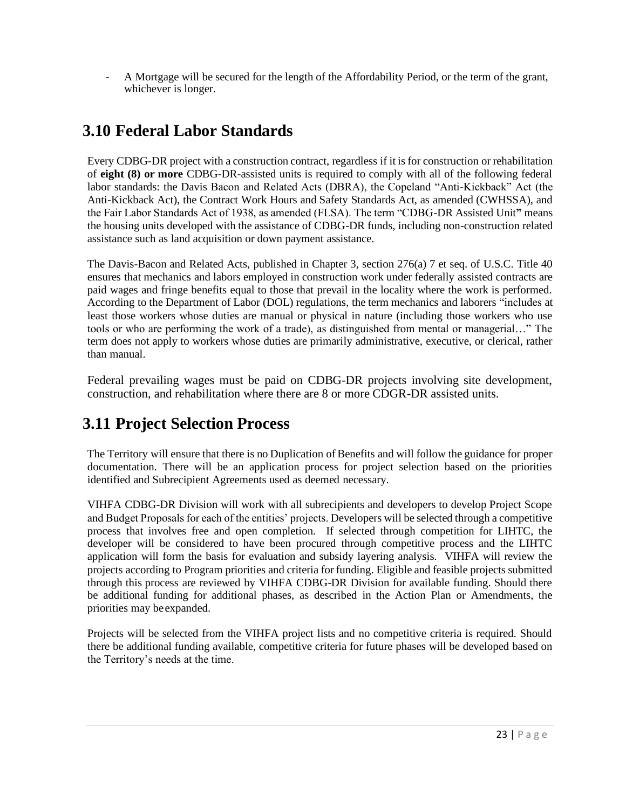- A Mortgage will be secured for the length of the Affordability Period, or the term of the grant, whichever is longer.

## <span id="page-22-0"></span>**3.10 Federal Labor Standards**

Every CDBG-DR project with a construction contract, regardless if it is for construction or rehabilitation of **eight (8) or more** CDBG-DR-assisted units is required to comply with all of the following federal labor standards: the Davis Bacon and Related Acts (DBRA), the Copeland "Anti-Kickback" Act (the Anti-Kickback Act), the Contract Work Hours and Safety Standards Act, as amended (CWHSSA), and the Fair Labor Standards Act of 1938, as amended (FLSA). The term "CDBG-DR Assisted Unit**"** means the housing units developed with the assistance of CDBG-DR funds, including non-construction related assistance such as land acquisition or down payment assistance.

The Davis-Bacon and Related Acts, published in Chapter 3, section 276(a) 7 et seq. of U.S.C. Title 40 ensures that mechanics and labors employed in construction work under federally assisted contracts are paid wages and fringe benefits equal to those that prevail in the locality where the work is performed. According to the Department of Labor (DOL) regulations, the term mechanics and laborers "includes at least those workers whose duties are manual or physical in nature (including those workers who use tools or who are performing the work of a trade), as distinguished from mental or managerial…" The term does not apply to workers whose duties are primarily administrative, executive, or clerical, rather than manual.

Federal prevailing wages must be paid on CDBG-DR projects involving site development, construction, and rehabilitation where there are 8 or more CDGR-DR assisted units.

#### <span id="page-22-1"></span>**3.11 Project Selection Process**

The Territory will ensure that there is no Duplication of Benefits and will follow the guidance for proper documentation. There will be an application process for project selection based on the priorities identified and Subrecipient Agreements used as deemed necessary.

VIHFA CDBG-DR Division will work with all subrecipients and developers to develop Project Scope and Budget Proposals for each of the entities' projects. Developers will be selected through a competitive process that involves free and open completion. If selected through competition for LIHTC, the developer will be considered to have been procured through competitive process and the LIHTC application will form the basis for evaluation and subsidy layering analysis. VIHFA will review the projects according to Program priorities and criteria for funding. Eligible and feasible projects submitted through this process are reviewed by VIHFA CDBG-DR Division for available funding. Should there be additional funding for additional phases, as described in the Action Plan or Amendments, the priorities may beexpanded.

Projects will be selected from the VIHFA project lists and no competitive criteria is required. Should there be additional funding available, competitive criteria for future phases will be developed based on the Territory's needs at the time.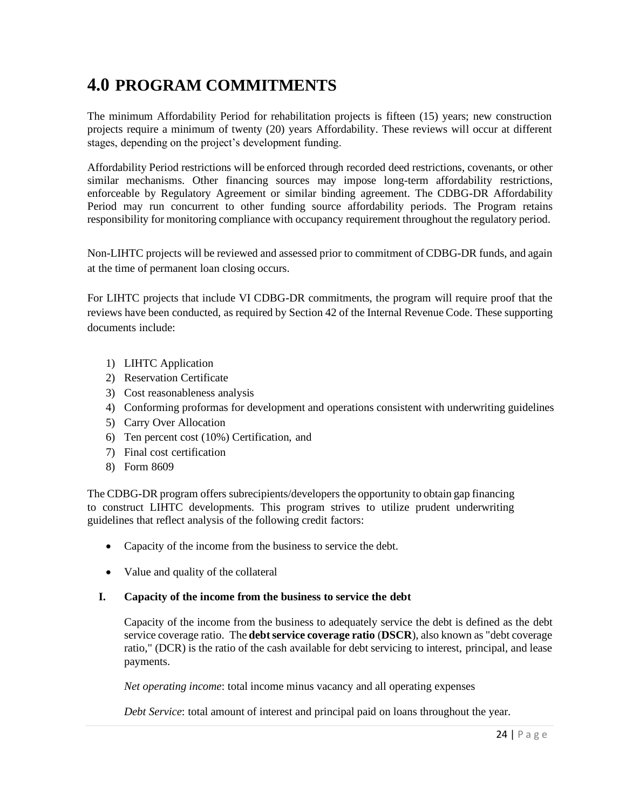# <span id="page-23-0"></span>**4.0 PROGRAM COMMITMENTS**

The minimum Affordability Period for rehabilitation projects is fifteen (15) years; new construction projects require a minimum of twenty (20) years Affordability. These reviews will occur at different stages, depending on the project's development funding.

Affordability Period restrictions will be enforced through recorded deed restrictions, covenants, or other similar mechanisms. Other financing sources may impose long-term affordability restrictions, enforceable by Regulatory Agreement or similar binding agreement. The CDBG-DR Affordability Period may run concurrent to other funding source affordability periods. The Program retains responsibility for monitoring compliance with occupancy requirement throughout the regulatory period.

Non-LIHTC projects will be reviewed and assessed prior to commitment of CDBG-DR funds, and again at the time of permanent loan closing occurs.

For LIHTC projects that include VI CDBG-DR commitments, the program will require proof that the reviews have been conducted, as required by Section 42 of the Internal Revenue Code. These supporting documents include:

- 1) LIHTC Application
- 2) Reservation Certificate
- 3) Cost reasonableness analysis
- 4) Conforming proformas for development and operations consistent with underwriting guidelines
- 5) Carry Over Allocation
- 6) Ten percent cost (10%) Certification, and
- 7) Final cost certification
- 8) Form 8609

The CDBG-DR program offers subrecipients/developers the opportunity to obtain gap financing to construct LIHTC developments. This program strives to utilize prudent underwriting guidelines that reflect analysis of the following credit factors:

- Capacity of the income from the business to service the debt.
- Value and quality of the collateral

#### **I. Capacity of the income from the business to service the debt**

Capacity of the income from the business to adequately service the debt is defined as the debt service coverage ratio. The **debt service coverage ratio** (DSCR), also known as "debt coverage ratio," (DCR) is the ratio of the cash available for debt servicing to interest, principal, and lease payments.

*Net operating income*: total income minus vacancy and all operating expenses

*Debt Service*: total amount of interest and principal paid on loans throughout the year.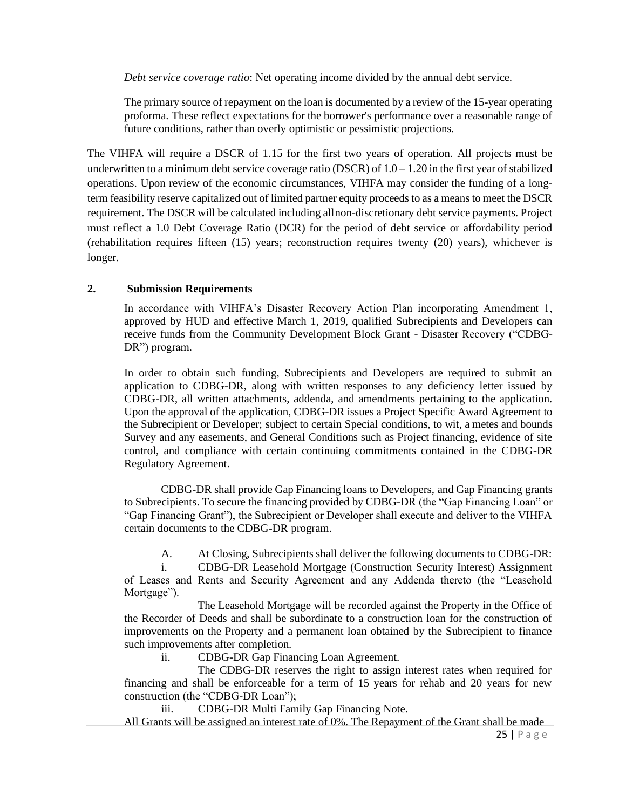*Debt service coverage ratio*: Net operating income divided by the annual debt service.

The primary source of repayment on the loan is documented by a review of the 15-year operating proforma. These reflect expectations for the borrower's performance over a reasonable range of future conditions, rather than overly optimistic or pessimistic projections.

The VIHFA will require a DSCR of 1.15 for the first two years of operation. All projects must be underwritten to a minimum debt service coverage ratio (DSCR) of  $1.0 - 1.20$  in the first year of stabilized operations. Upon review of the economic circumstances, VIHFA may consider the funding of a longterm feasibility reserve capitalized out of limited partner equity proceeds to as a means to meet the DSCR requirement. The DSCR will be calculated including allnon-discretionary debt service payments. Project must reflect a 1.0 Debt Coverage Ratio (DCR) for the period of debt service or affordability period (rehabilitation requires fifteen (15) years; reconstruction requires twenty (20) years), whichever is longer.

#### **2. Submission Requirements**

In accordance with VIHFA's Disaster Recovery Action Plan incorporating Amendment 1, approved by HUD and effective March 1, 2019, qualified Subrecipients and Developers can receive funds from the Community Development Block Grant - Disaster Recovery ("CDBG-DR") program.

In order to obtain such funding, Subrecipients and Developers are required to submit an application to CDBG-DR, along with written responses to any deficiency letter issued by CDBG-DR, all written attachments, addenda, and amendments pertaining to the application. Upon the approval of the application, CDBG-DR issues a Project Specific Award Agreement to the Subrecipient or Developer; subject to certain Special conditions, to wit, a metes and bounds Survey and any easements, and General Conditions such as Project financing, evidence of site control, and compliance with certain continuing commitments contained in the CDBG-DR Regulatory Agreement.

CDBG-DR shall provide Gap Financing loans to Developers, and Gap Financing grants to Subrecipients. To secure the financing provided by CDBG-DR (the "Gap Financing Loan" or "Gap Financing Grant"), the Subrecipient or Developer shall execute and deliver to the VIHFA certain documents to the CDBG-DR program.

A. At Closing, Subrecipients shall deliver the following documents to CDBG-DR:

i. CDBG-DR Leasehold Mortgage (Construction Security Interest) Assignment of Leases and Rents and Security Agreement and any Addenda thereto (the "Leasehold Mortgage").

The Leasehold Mortgage will be recorded against the Property in the Office of the Recorder of Deeds and shall be subordinate to a construction loan for the construction of improvements on the Property and a permanent loan obtained by the Subrecipient to finance such improvements after completion.

ii. CDBG-DR Gap Financing Loan Agreement.

The CDBG-DR reserves the right to assign interest rates when required for financing and shall be enforceable for a term of 15 years for rehab and 20 years for new construction (the "CDBG-DR Loan");

iii. CDBG-DR Multi Family Gap Financing Note.

25 | P a g e All Grants will be assigned an interest rate of 0%. The Repayment of the Grant shall be made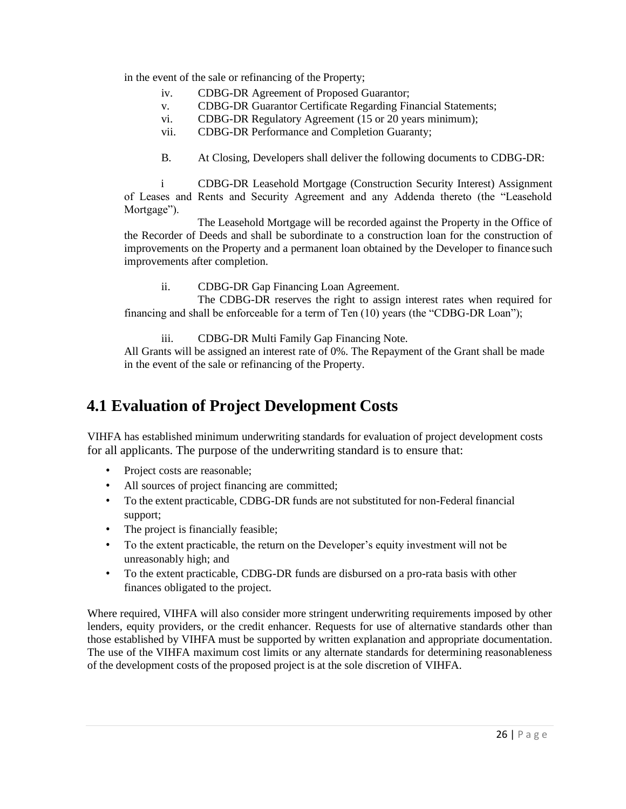in the event of the sale or refinancing of the Property;

- iv. CDBG-DR Agreement of Proposed Guarantor;
- v. CDBG-DR Guarantor Certificate Regarding Financial Statements;
- vi. CDBG-DR Regulatory Agreement (15 or 20 years minimum);
- vii. CDBG-DR Performance and Completion Guaranty;
- B. At Closing, Developers shall deliver the following documents to CDBG-DR:

i CDBG-DR Leasehold Mortgage (Construction Security Interest) Assignment of Leases and Rents and Security Agreement and any Addenda thereto (the "Leasehold Mortgage").

The Leasehold Mortgage will be recorded against the Property in the Office of the Recorder of Deeds and shall be subordinate to a construction loan for the construction of improvements on the Property and a permanent loan obtained by the Developer to finance such improvements after completion.

ii. CDBG-DR Gap Financing Loan Agreement.

The CDBG-DR reserves the right to assign interest rates when required for financing and shall be enforceable for a term of Ten (10) years (the "CDBG-DR Loan");

iii. CDBG-DR Multi Family Gap Financing Note.

All Grants will be assigned an interest rate of 0%. The Repayment of the Grant shall be made in the event of the sale or refinancing of the Property.

### <span id="page-25-0"></span>**4.1 Evaluation of Project Development Costs**

VIHFA has established minimum underwriting standards for evaluation of project development costs for all applicants. The purpose of the underwriting standard is to ensure that:

- Project costs are reasonable;
- All sources of project financing are committed;
- To the extent practicable, CDBG-DR funds are not substituted for non-Federal financial support;
- The project is financially feasible;
- To the extent practicable, the return on the Developer's equity investment will not be unreasonably high; and
- To the extent practicable, CDBG-DR funds are disbursed on a pro-rata basis with other finances obligated to the project.

Where required, VIHFA will also consider more stringent underwriting requirements imposed by other lenders, equity providers, or the credit enhancer. Requests for use of alternative standards other than those established by VIHFA must be supported by written explanation and appropriate documentation. The use of the VIHFA maximum cost limits or any alternate standards for determining reasonableness of the development costs of the proposed project is at the sole discretion of VIHFA.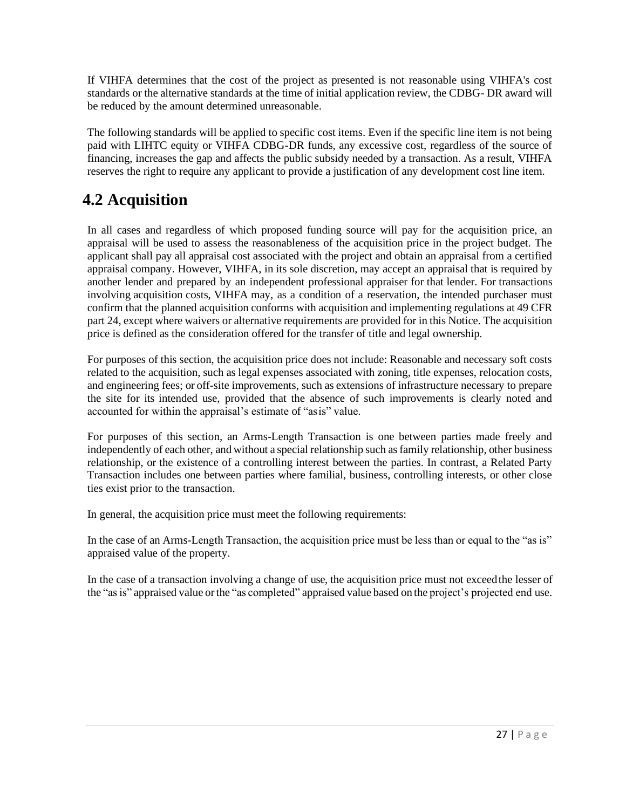If VIHFA determines that the cost of the project as presented is not reasonable using VIHFA's cost standards or the alternative standards at the time of initial application review, the CDBG- DR award will be reduced by the amount determined unreasonable.

The following standards will be applied to specific cost items. Even if the specific line item is not being paid with LIHTC equity or VIHFA CDBG-DR funds, any excessive cost, regardless of the source of financing, increases the gap and affects the public subsidy needed by a transaction. As a result, VIHFA reserves the right to require any applicant to provide a justification of any development cost line item.

## <span id="page-26-0"></span>**4.2 Acquisition**

In all cases and regardless of which proposed funding source will pay for the acquisition price, an appraisal will be used to assess the reasonableness of the acquisition price in the project budget. The applicant shall pay all appraisal cost associated with the project and obtain an appraisal from a certified appraisal company. However, VIHFA, in its sole discretion, may accept an appraisal that is required by another lender and prepared by an independent professional appraiser for that lender. For transactions involving acquisition costs, VIHFA may, as a condition of a reservation, the intended purchaser must confirm that the planned acquisition conforms with acquisition and implementing regulations at 49 CFR part 24, except where waivers or alternative requirements are provided for in this Notice. The acquisition price is defined as the consideration offered for the transfer of title and legal ownership.

For purposes of this section, the acquisition price does not include: Reasonable and necessary soft costs related to the acquisition, such as legal expenses associated with zoning, title expenses, relocation costs, and engineering fees; or off-site improvements, such as extensions of infrastructure necessary to prepare the site for its intended use, provided that the absence of such improvements is clearly noted and accounted for within the appraisal's estimate of "asis" value.

For purposes of this section, an Arms-Length Transaction is one between parties made freely and independently of each other, and without a special relationship such as family relationship, other business relationship, or the existence of a controlling interest between the parties. In contrast, a Related Party Transaction includes one between parties where familial, business, controlling interests, or other close ties exist prior to the transaction.

In general, the acquisition price must meet the following requirements:

In the case of an Arms-Length Transaction, the acquisition price must be less than or equal to the "as is" appraised value of the property.

In the case of a transaction involving a change of use, the acquisition price must not exceedthe lesser of the "asis" appraised value orthe "as completed" appraised value based on the project's projected end use.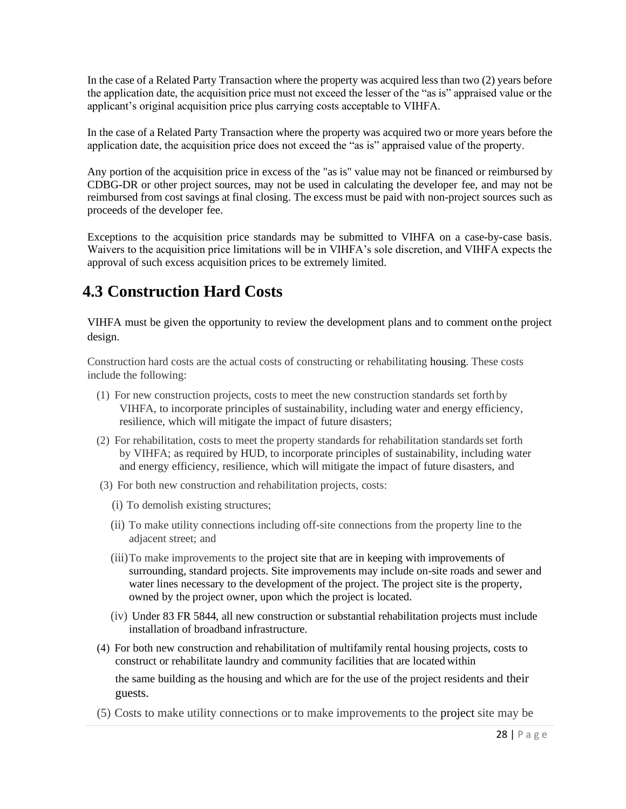In the case of a Related Party Transaction where the property was acquired less than two (2) years before the application date, the acquisition price must not exceed the lesser of the "as is" appraised value or the applicant's original acquisition price plus carrying costs acceptable to VIHFA.

In the case of a Related Party Transaction where the property was acquired two or more years before the application date, the acquisition price does not exceed the "as is" appraised value of the property.

Any portion of the acquisition price in excess of the "as is" value may not be financed or reimbursed by CDBG-DR or other project sources, may not be used in calculating the developer fee, and may not be reimbursed from cost savings at final closing. The excess must be paid with non-project sources such as proceeds of the developer fee.

Exceptions to the acquisition price standards may be submitted to VIHFA on a case-by-case basis. Waivers to the acquisition price limitations will be in VIHFA's sole discretion, and VIHFA expects the approval of such excess acquisition prices to be extremely limited.

### <span id="page-27-0"></span>**4.3 Construction Hard Costs**

VIHFA must be given the opportunity to review the development plans and to comment onthe project design.

Construction hard costs are the actual costs of constructing or rehabilitating housing. These costs include the following:

- (1) For new construction projects, costs to meet the new construction standards set forth by VIHFA, to incorporate principles of sustainability, including water and energy efficiency, resilience, which will mitigate the impact of future disasters;
- (2) For rehabilitation, costs to meet the property standards for rehabilitation standardsset forth by VIHFA; as required by HUD, to incorporate principles of sustainability, including water and energy efficiency, resilience, which will mitigate the impact of future disasters, and
- (3) For both new construction and rehabilitation projects, costs:
	- (i) To demolish existing structures;
	- (ii) To make utility connections including off-site connections from the property line to the adjacent street; and
	- (iii)To make improvements to the project site that are in keeping with improvements of surrounding, standard projects. Site improvements may include on-site roads and sewer and water lines necessary to the development of the project. The project site is the property, owned by the project owner, upon which the project is located.
	- (iv) Under 83 FR 5844, all new construction or substantial rehabilitation projects must include installation of broadband infrastructure.
- (4) For both new construction and rehabilitation of multifamily rental housing projects, costs to construct or rehabilitate laundry and community facilities that are located within the same building as the housing and which are for the use of the project residents and their guests.
- (5) Costs to make utility connections or to make improvements to the project site may be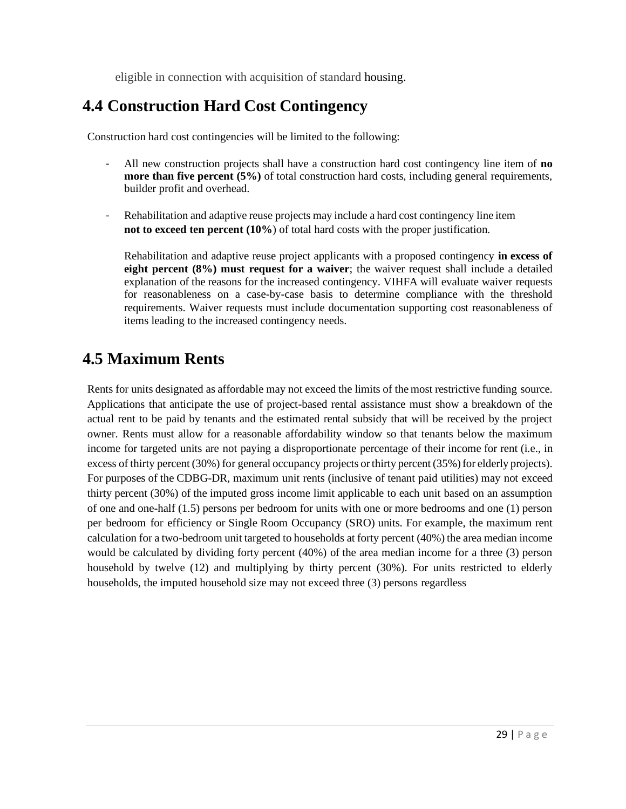eligible in connection with acquisition of standard [housing.](https://www.law.cornell.edu/cfr/text/24/92.206)

### <span id="page-28-0"></span>**4.4 Construction Hard Cost Contingency**

Construction hard cost contingencies will be limited to the following:

- All new construction projects shall have a construction hard cost contingency line item of **no more than five percent (5%)** of total construction hard costs, including general requirements, builder profit and overhead.
- Rehabilitation and adaptive reuse projects may include a hard cost contingency line item **not to exceed ten percent (10%**) of total hard costs with the proper justification.

Rehabilitation and adaptive reuse project applicants with a proposed contingency **in excess of eight percent (8%) must request for a waiver**; the waiver request shall include a detailed explanation of the reasons for the increased contingency. VIHFA will evaluate waiver requests for reasonableness on a case-by-case basis to determine compliance with the threshold requirements. Waiver requests must include documentation supporting cost reasonableness of items leading to the increased contingency needs.

#### <span id="page-28-1"></span>**4.5 Maximum Rents**

Rents for units designated as affordable may not exceed the limits of the most restrictive funding source. Applications that anticipate the use of project-based rental assistance must show a breakdown of the actual rent to be paid by tenants and the estimated rental subsidy that will be received by the project owner. Rents must allow for a reasonable affordability window so that tenants below the maximum income for targeted units are not paying a disproportionate percentage of their income for rent (i.e., in excess of thirty percent (30%) for general occupancy projects or thirty percent (35%) for elderly projects). For purposes of the CDBG-DR, maximum unit rents (inclusive of tenant paid utilities) may not exceed thirty percent (30%) of the imputed gross income limit applicable to each unit based on an assumption of one and one-half (1.5) persons per bedroom for units with one or more bedrooms and one (1) person per bedroom for efficiency or Single Room Occupancy (SRO) units. For example, the maximum rent calculation for a two-bedroom unit targeted to households at forty percent (40%) the area median income would be calculated by dividing forty percent (40%) of the area median income for a three (3) person household by twelve (12) and multiplying by thirty percent (30%). For units restricted to elderly households, the imputed household size may not exceed three (3) persons regardless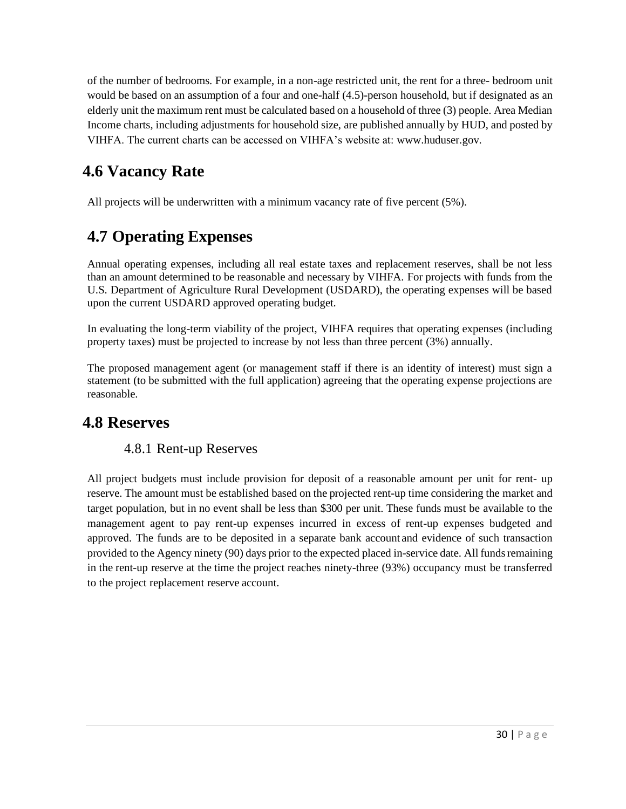of the number of bedrooms. For example, in a non-age restricted unit, the rent for a three- bedroom unit would be based on an assumption of a four and one-half (4.5)-person household, but if designated as an elderly unit the maximum rent must be calculated based on a household of three (3) people. Area Median Income charts, including adjustments for household size, are published annually by HUD, and posted by VIHFA. The current charts can be accessed on VIHFA's website at: [www.huduser.gov.](http://www.huduser.gov/)

## <span id="page-29-0"></span>**4.6 Vacancy Rate**

All projects will be underwritten with a minimum vacancy rate of five percent (5%).

# **4.7 Operating Expenses**

Annual operating expenses, including all real estate taxes and replacement reserves, shall be not less than an amount determined to be reasonable and necessary by VIHFA. For projects with funds from the U.S. Department of Agriculture Rural Development (USDARD), the operating expenses will be based upon the current USDARD approved operating budget.

In evaluating the long-term viability of the project, VIHFA requires that operating expenses (including property taxes) must be projected to increase by not less than three percent (3%) annually.

The proposed management agent (or management staff if there is an identity of interest) must sign a statement (to be submitted with the full application) agreeing that the operating expense projections are reasonable.

#### <span id="page-29-1"></span>**4.8 Reserves**

#### 4.8.1 Rent-up Reserves

All project budgets must include provision for deposit of a reasonable amount per unit for rent- up reserve. The amount must be established based on the projected rent-up time considering the market and target population, but in no event shall be less than \$300 per unit. These funds must be available to the management agent to pay rent-up expenses incurred in excess of rent-up expenses budgeted and approved. The funds are to be deposited in a separate bank account and evidence of such transaction provided to the Agency ninety (90) days prior to the expected placed in-service date. All fundsremaining in the rent-up reserve at the time the project reaches ninety-three (93%) occupancy must be transferred to the project replacement reserve account.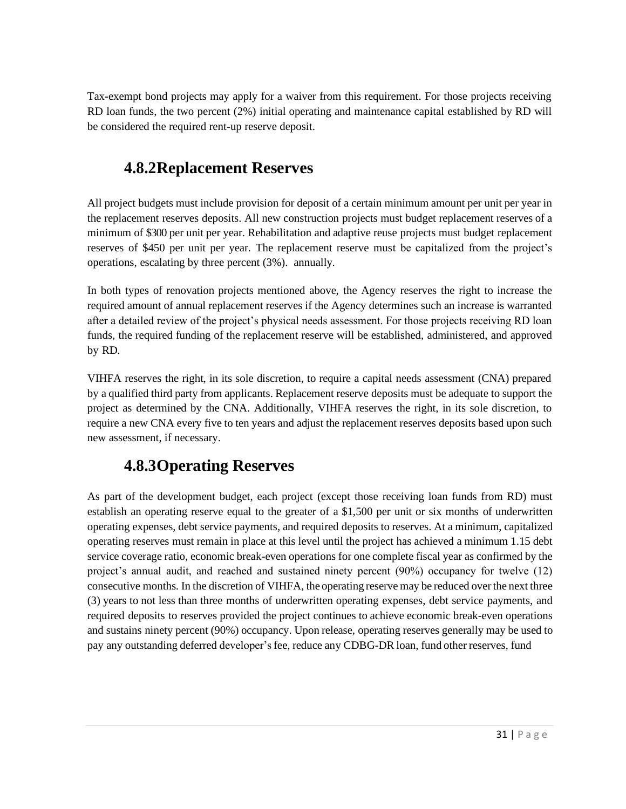Tax-exempt bond projects may apply for a waiver from this requirement. For those projects receiving RD loan funds, the two percent (2%) initial operating and maintenance capital established by RD will be considered the required rent-up reserve deposit.

#### **4.8.2Replacement Reserves**

All project budgets must include provision for deposit of a certain minimum amount per unit per year in the replacement reserves deposits. All new construction projects must budget replacement reserves of a minimum of \$300 per unit per year. Rehabilitation and adaptive reuse projects must budget replacement reserves of \$450 per unit per year. The replacement reserve must be capitalized from the project's operations, escalating by three percent (3%). annually.

In both types of renovation projects mentioned above, the Agency reserves the right to increase the required amount of annual replacement reserves if the Agency determines such an increase is warranted after a detailed review of the project's physical needs assessment. For those projects receiving RD loan funds, the required funding of the replacement reserve will be established, administered, and approved by RD.

VIHFA reserves the right, in its sole discretion, to require a capital needs assessment (CNA) prepared by a qualified third party from applicants. Replacement reserve deposits must be adequate to support the project as determined by the CNA. Additionally, VIHFA reserves the right, in its sole discretion, to require a new CNA every five to ten years and adjust the replacement reserves deposits based upon such new assessment, if necessary.

### **4.8.3Operating Reserves**

As part of the development budget, each project (except those receiving loan funds from RD) must establish an operating reserve equal to the greater of a \$1,500 per unit or six months of underwritten operating expenses, debt service payments, and required deposits to reserves. At a minimum, capitalized operating reserves must remain in place at this level until the project has achieved a minimum 1.15 debt service coverage ratio, economic break-even operations for one complete fiscal year as confirmed by the project's annual audit, and reached and sustained ninety percent (90%) occupancy for twelve (12) consecutive months. In the discretion of VIHFA, the operating reserve may be reduced overthe next three (3) years to not less than three months of underwritten operating expenses, debt service payments, and required deposits to reserves provided the project continues to achieve economic break-even operations and sustains ninety percent (90%) occupancy. Upon release, operating reserves generally may be used to pay any outstanding deferred developer'sfee, reduce any CDBG-DR loan, fund other reserves, fund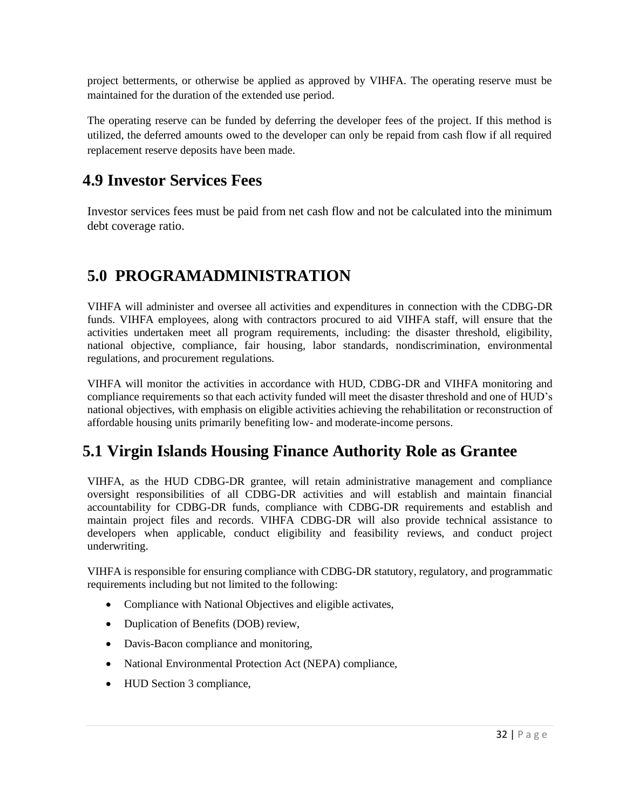project betterments, or otherwise be applied as approved by VIHFA. The operating reserve must be maintained for the duration of the extended use period.

The operating reserve can be funded by deferring the developer fees of the project. If this method is utilized, the deferred amounts owed to the developer can only be repaid from cash flow if all required replacement reserve deposits have been made.

#### <span id="page-31-0"></span>**4.9 Investor Services Fees**

Investor services fees must be paid from net cash flow and not be calculated into the minimum debt coverage ratio.

#### <span id="page-31-1"></span>**5.0 PROGRAMADMINISTRATION**

VIHFA will administer and oversee all activities and expenditures in connection with the CDBG-DR funds. VIHFA employees, along with contractors procured to aid VIHFA staff, will ensure that the activities undertaken meet all program requirements, including: the disaster threshold, eligibility, national objective, compliance, fair housing, labor standards, nondiscrimination, environmental regulations, and procurement regulations.

VIHFA will monitor the activities in accordance with HUD, CDBG-DR and VIHFA monitoring and compliance requirements so that each activity funded will meet the disaster threshold and one of HUD's national objectives, with emphasis on eligible activities achieving the rehabilitation or reconstruction of affordable housing units primarily benefiting low- and moderate-income persons.

### <span id="page-31-2"></span>**5.1 Virgin Islands Housing Finance Authority Role as Grantee**

VIHFA, as the HUD CDBG-DR grantee, will retain administrative management and compliance oversight responsibilities of all CDBG-DR activities and will establish and maintain financial accountability for CDBG-DR funds, compliance with CDBG-DR requirements and establish and maintain project files and records. VIHFA CDBG-DR will also provide technical assistance to developers when applicable, conduct eligibility and feasibility reviews, and conduct project underwriting.

VIHFA is responsible for ensuring compliance with CDBG-DR statutory, regulatory, and programmatic requirements including but not limited to the following:

- Compliance with National Objectives and eligible activates,
- Duplication of Benefits (DOB) review,
- Davis-Bacon compliance and monitoring,
- National Environmental Protection Act (NEPA) compliance,
- HUD Section 3 compliance,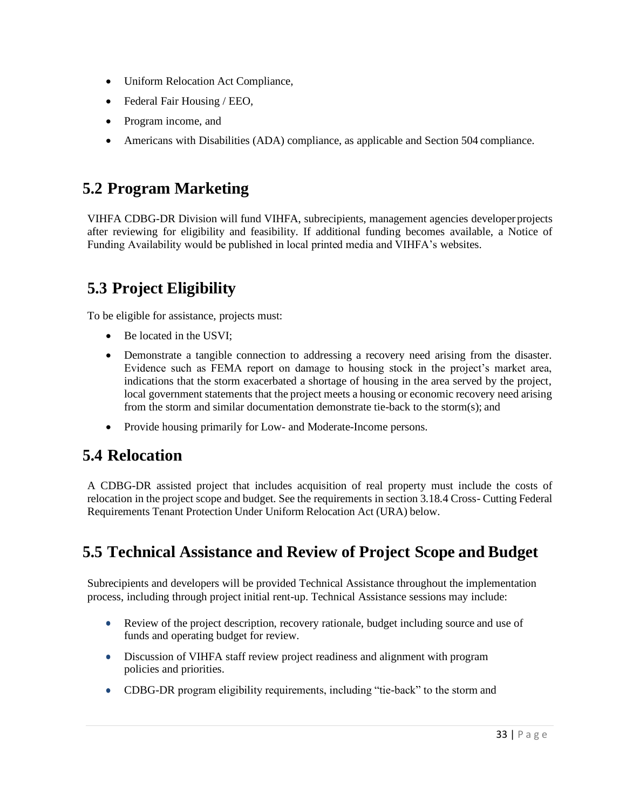- Uniform Relocation Act Compliance,
- Federal Fair Housing / EEO,
- Program income, and
- Americans with Disabilities (ADA) compliance, as applicable and Section 504 compliance.

#### <span id="page-32-0"></span>**5.2 Program Marketing**

VIHFA CDBG-DR Division will fund VIHFA, subrecipients, management agencies developer projects after reviewing for eligibility and feasibility. If additional funding becomes available, a Notice of Funding Availability would be published in local printed media and VIHFA's websites.

### <span id="page-32-1"></span>**5.3 Project Eligibility**

To be eligible for assistance, projects must:

- Be located in the USVI;
- Demonstrate a tangible connection to addressing a recovery need arising from the disaster. Evidence such as FEMA report on damage to housing stock in the project's market area, indications that the storm exacerbated a shortage of housing in the area served by the project, local government statements that the project meets a housing or economic recovery need arising from the storm and similar documentation demonstrate tie-back to the storm(s); and
- Provide housing primarily for Low- and Moderate-Income persons.

### <span id="page-32-2"></span>**5.4 Relocation**

A CDBG-DR assisted project that includes acquisition of real property must include the costs of relocation in the project scope and budget. See the requirements in section 3.18.4 Cross- Cutting Federal Requirements Tenant Protection Under Uniform Relocation Act (URA) below.

### <span id="page-32-3"></span>**5.5 Technical Assistance and Review of Project Scope and Budget**

Subrecipients and developers will be provided Technical Assistance throughout the implementation process, including through project initial rent-up. Technical Assistance sessions may include:

- Review of the project description, recovery rationale, budget including source and use of funds and operating budget for review.
- Discussion of VIHFA staff review project readiness and alignment with program policies and priorities.
- CDBG-DR program eligibility requirements, including "tie-back" to the storm and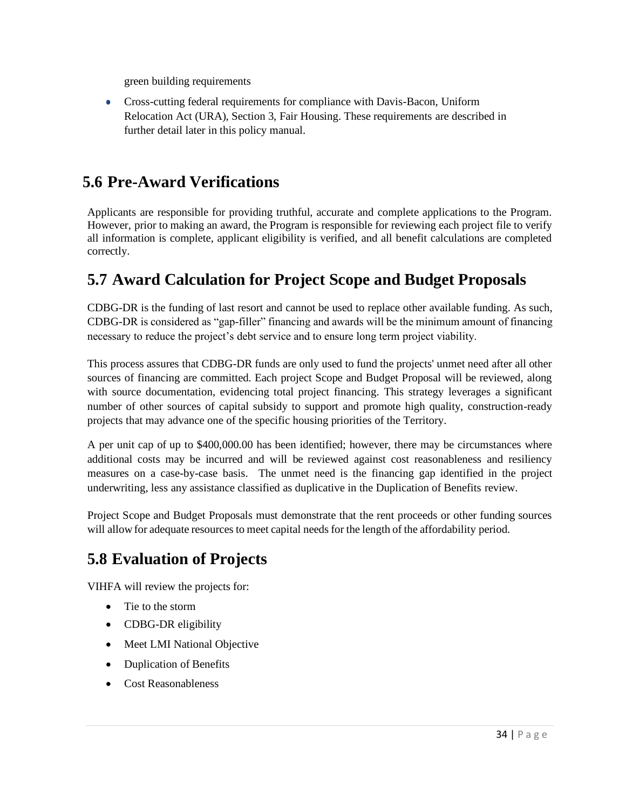green building requirements

• Cross-cutting federal requirements for compliance with Davis-Bacon, Uniform Relocation Act (URA), Section 3, Fair Housing. These requirements are described in further detail later in this policy manual.

#### <span id="page-33-0"></span>**5.6 Pre-Award Verifications**

Applicants are responsible for providing truthful, accurate and complete applications to the Program. However, prior to making an award, the Program is responsible for reviewing each project file to verify all information is complete, applicant eligibility is verified, and all benefit calculations are completed correctly.

#### <span id="page-33-1"></span>**5.7 Award Calculation for Project Scope and Budget Proposals**

CDBG-DR is the funding of last resort and cannot be used to replace other available funding. As such, CDBG-DR is considered as "gap-filler" financing and awards will be the minimum amount of financing necessary to reduce the project's debt service and to ensure long term project viability.

This process assures that CDBG-DR funds are only used to fund the projects' unmet need after all other sources of financing are committed. Each project Scope and Budget Proposal will be reviewed, along with source documentation, evidencing total project financing. This strategy leverages a significant number of other sources of capital subsidy to support and promote high quality, construction-ready projects that may advance one of the specific housing priorities of the Territory.

A per unit cap of up to \$400,000.00 has been identified; however, there may be circumstances where additional costs may be incurred and will be reviewed against cost reasonableness and resiliency measures on a case-by-case basis. The unmet need is the financing gap identified in the project underwriting, less any assistance classified as duplicative in the Duplication of Benefits review.

Project Scope and Budget Proposals must demonstrate that the rent proceeds or other funding sources will allow for adequate resources to meet capital needs for the length of the affordability period.

## <span id="page-33-2"></span>**5.8 Evaluation of Projects**

VIHFA will review the projects for:

- Tie to the storm
- CDBG-DR eligibility
- Meet LMI National Objective
- Duplication of Benefits
- Cost Reasonableness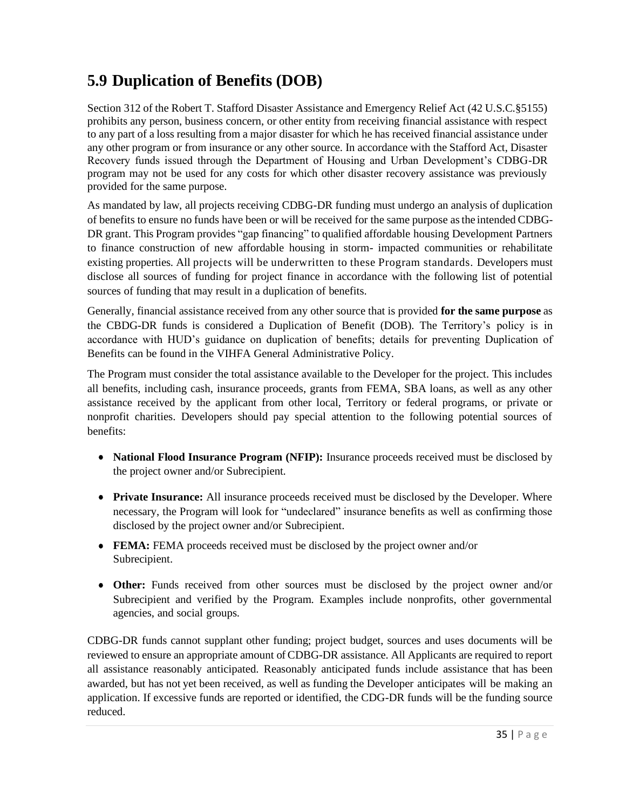## <span id="page-34-0"></span>**5.9 Duplication of Benefits (DOB)**

Section 312 of the Robert T. Stafford Disaster Assistance and Emergency Relief Act (42 U.S.C.§5155) prohibits any person, business concern, or other entity from receiving financial assistance with respect to any part of a loss resulting from a major disaster for which he has received financial assistance under any other program or from insurance or any other source. In accordance with the Stafford Act, Disaster Recovery funds issued through the Department of Housing and Urban Development's CDBG-DR program may not be used for any costs for which other disaster recovery assistance was previously provided for the same purpose.

As mandated by law, all projects receiving CDBG-DR funding must undergo an analysis of duplication of benefits to ensure no funds have been or will be received for the same purpose asthe intended CDBG-DR grant. This Program provides "gap financing" to qualified affordable housing Development Partners to finance construction of new affordable housing in storm- impacted communities or rehabilitate existing properties. All projects will be underwritten to these Program standards. Developers must disclose all sources of funding for project finance in accordance with the following list of potential sources of funding that may result in a duplication of benefits.

Generally, financial assistance received from any other source that is provided **for the same purpose** as the CBDG-DR funds is considered a Duplication of Benefit (DOB). The Territory's policy is in accordance with HUD's guidance on duplication of benefits; details for preventing Duplication of Benefits can be found in the VIHFA General Administrative Policy.

The Program must consider the total assistance available to the Developer for the project. This includes all benefits, including cash, insurance proceeds, grants from FEMA, SBA loans, as well as any other assistance received by the applicant from other local, Territory or federal programs, or private or nonprofit charities. Developers should pay special attention to the following potential sources of benefits:

- **National Flood Insurance Program (NFIP):** Insurance proceeds received must be disclosed by the project owner and/or Subrecipient.
- **Private Insurance:** All insurance proceeds received must be disclosed by the Developer. Where necessary, the Program will look for "undeclared" insurance benefits as well as confirming those disclosed by the project owner and/or Subrecipient.
- **FEMA:** FEMA proceeds received must be disclosed by the project owner and/or Subrecipient.
- **Other:** Funds received from other sources must be disclosed by the project owner and/or Subrecipient and verified by the Program. Examples include nonprofits, other governmental agencies, and social groups.

CDBG-DR funds cannot supplant other funding; project budget, sources and uses documents will be reviewed to ensure an appropriate amount of CDBG-DR assistance. All Applicants are required to report all assistance reasonably anticipated. Reasonably anticipated funds include assistance that has been awarded, but has not yet been received, as well as funding the Developer anticipates will be making an application. If excessive funds are reported or identified, the CDG-DR funds will be the funding source reduced.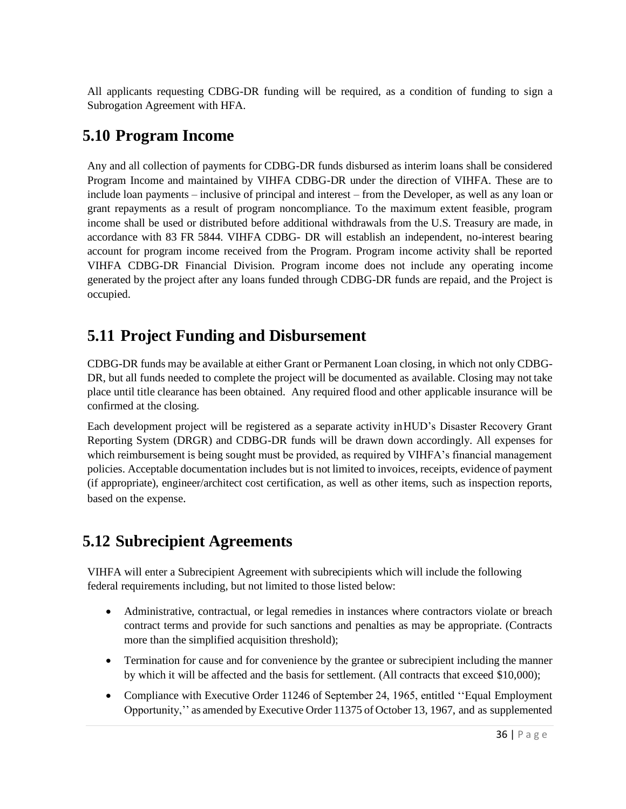All applicants requesting CDBG-DR funding will be required, as a condition of funding to sign a Subrogation Agreement with HFA.

#### <span id="page-35-0"></span>**5.10 Program Income**

Any and all collection of payments for CDBG-DR funds disbursed as interim loans shall be considered Program Income and maintained by VIHFA CDBG-DR under the direction of VIHFA. These are to include loan payments – inclusive of principal and interest – from the Developer, as well as any loan or grant repayments as a result of program noncompliance. To the maximum extent feasible, program income shall be used or distributed before additional withdrawals from the U.S. Treasury are made, in accordance with 83 FR 5844. VIHFA CDBG- DR will establish an independent, no-interest bearing account for program income received from the Program. Program income activity shall be reported VIHFA CDBG-DR Financial Division. Program income does not include any operating income generated by the project after any loans funded through CDBG-DR funds are repaid, and the Project is occupied.

### <span id="page-35-1"></span>**5.11 Project Funding and Disbursement**

CDBG-DR funds may be available at either Grant or Permanent Loan closing, in which not only CDBG-DR, but all funds needed to complete the project will be documented as available. Closing may not take place until title clearance has been obtained. Any required flood and other applicable insurance will be confirmed at the closing.

Each development project will be registered as a separate activity inHUD's Disaster Recovery Grant Reporting System (DRGR) and CDBG-DR funds will be drawn down accordingly. All expenses for which reimbursement is being sought must be provided, as required by VIHFA's financial management policies. Acceptable documentation includes but is not limited to invoices, receipts, evidence of payment (if appropriate), engineer/architect cost certification, as well as other items, such as inspection reports, based on the expense.

### <span id="page-35-2"></span>**5.12 Subrecipient Agreements**

VIHFA will enter a Subrecipient Agreement with subrecipients which will include the following federal requirements including, but not limited to those listed below:

- Administrative, contractual, or legal remedies in instances where contractors violate or breach contract terms and provide for such sanctions and penalties as may be appropriate. (Contracts more than the simplified acquisition threshold);
- Termination for cause and for convenience by the grantee or subrecipient including the manner by which it will be affected and the basis for settlement. (All contracts that exceed \$10,000);
- Compliance with Executive Order 11246 of September 24, 1965, entitled "Equal Employment" Opportunity,'' as amended by Executive Order 11375 of October 13, 1967, and as supplemented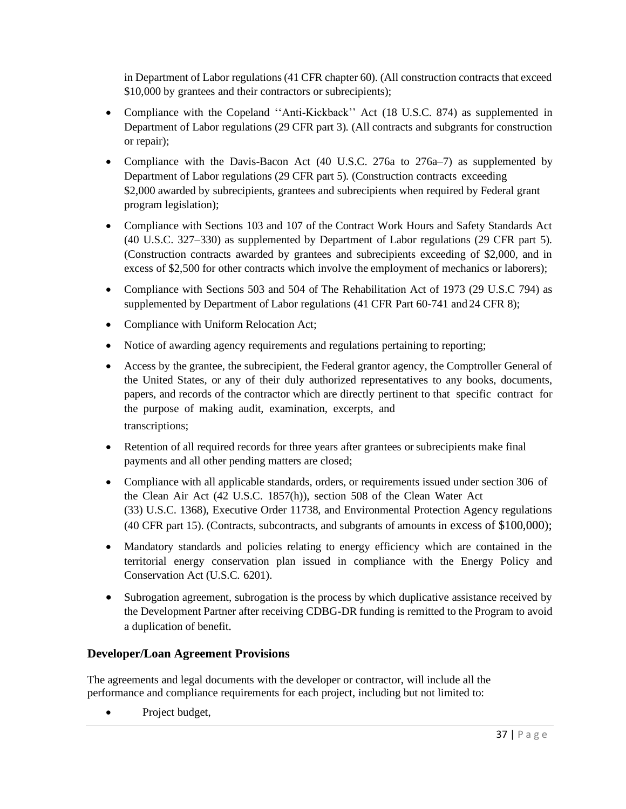in Department of Labor regulations (41 CFR chapter 60). (All construction contracts that exceed \$10,000 by grantees and their contractors or subrecipients);

- Compliance with the Copeland ''Anti-Kickback'' Act (18 U.S.C. 874) as supplemented in Department of Labor regulations (29 CFR part 3). (All contracts and subgrants for construction or repair);
- Compliance with the Davis-Bacon Act (40 U.S.C. 276a to 276a–7) as supplemented by Department of Labor regulations (29 CFR part 5). (Construction contracts exceeding \$2,000 awarded by subrecipients, grantees and subrecipients when required by Federal grant program legislation);
- Compliance with Sections 103 and 107 of the Contract Work Hours and Safety Standards Act (40 U.S.C. 327–330) as supplemented by Department of Labor regulations (29 CFR part 5). (Construction contracts awarded by grantees and subrecipients exceeding of \$2,000, and in excess of \$2,500 for other contracts which involve the employment of mechanics or laborers);
- Compliance with Sections 503 and 504 of The Rehabilitation Act of 1973 (29 U.S.C 794) as supplemented by Department of Labor regulations (41 CFR Part 60-741 and 24 CFR 8);
- Compliance with Uniform Relocation Act;
- Notice of awarding agency requirements and regulations pertaining to reporting;
- Access by the grantee, the subrecipient, the Federal grantor agency, the Comptroller General of the United States, or any of their duly authorized representatives to any books, documents, papers, and records of the contractor which are directly pertinent to that specific contract for the purpose of making audit, examination, excerpts, and transcriptions;
- Retention of all required records for three years after grantees or subrecipients make final payments and all other pending matters are closed;
- Compliance with all applicable standards, orders, or requirements issued under section 306 of the Clean Air Act (42 U.S.C. 1857(h)), section 508 of the Clean Water Act (33) U.S.C. 1368), Executive Order 11738, and Environmental Protection Agency regulations (40 CFR part 15). (Contracts, subcontracts, and subgrants of amounts in excess of \$100,000);
- Mandatory standards and policies relating to energy efficiency which are contained in the territorial energy conservation plan issued in compliance with the Energy Policy and Conservation Act (U.S.C. 6201).
- Subrogation agreement, subrogation is the process by which duplicative assistance received by the Development Partner after receiving CDBG-DR funding is remitted to the Program to avoid a duplication of benefit.

#### **Developer/Loan Agreement Provisions**

The agreements and legal documents with the developer or contractor, will include all the performance and compliance requirements for each project, including but not limited to:

• Project budget,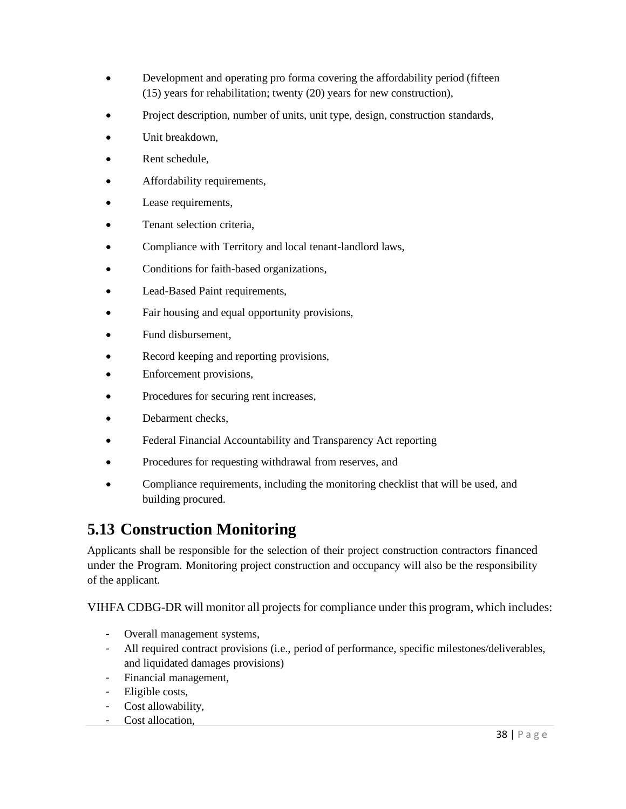- Development and operating pro forma covering the affordability period (fifteen (15) years for rehabilitation; twenty (20) years for new construction),
- Project description, number of units, unit type, design, construction standards,
- Unit breakdown,
- Rent schedule.
- Affordability requirements,
- Lease requirements,
- Tenant selection criteria.
- Compliance with Territory and local tenant-landlord laws,
- Conditions for faith-based organizations,
- Lead-Based Paint requirements,
- Fair housing and equal opportunity provisions,
- Fund disbursement,
- Record keeping and reporting provisions,
- Enforcement provisions,
- Procedures for securing rent increases,
- Debarment checks.
- Federal Financial Accountability and Transparency Act reporting
- Procedures for requesting withdrawal from reserves, and
- Compliance requirements, including the monitoring checklist that will be used, and building procured.

#### **5.13 Construction Monitoring**

Applicants shall be responsible for the selection of their project construction contractors financed under the Program. Monitoring project construction and occupancy will also be the responsibility of the applicant.

VIHFA CDBG-DR will monitor all projects for compliance under this program, which includes:

- Overall management systems,
- All required contract provisions (i.e., period of performance, specific milestones/deliverables, and liquidated damages provisions)
- Financial management,
- Eligible costs,
- Cost allowability,
- Cost allocation,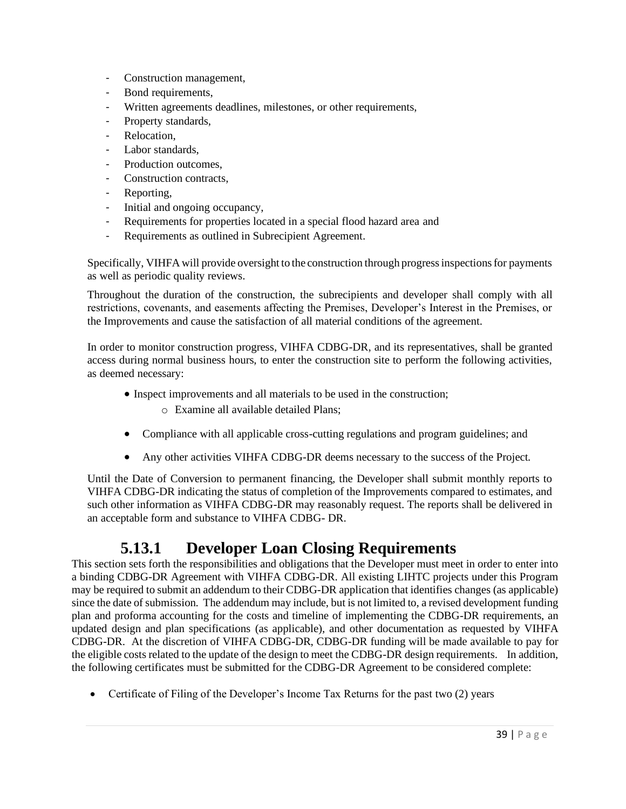- Construction management,
- Bond requirements,
- Written agreements deadlines, milestones, or other requirements,
- Property standards,
- Relocation,
- Labor standards,
- Production outcomes,
- Construction contracts,
- Reporting,
- Initial and ongoing occupancy,
- Requirements for properties located in a special flood hazard area and
- Requirements as outlined in Subrecipient Agreement.

Specifically, VIHFA will provide oversight to the construction through progressinspectionsfor payments as well as periodic quality reviews.

Throughout the duration of the construction, the subrecipients and developer shall comply with all restrictions, covenants, and easements affecting the Premises, Developer's Interest in the Premises, or the Improvements and cause the satisfaction of all material conditions of the agreement.

In order to monitor construction progress, VIHFA CDBG-DR, and its representatives, shall be granted access during normal business hours, to enter the construction site to perform the following activities, as deemed necessary:

- Inspect improvements and all materials to be used in the construction;
	- o Examine all available detailed Plans;
- Compliance with all applicable cross-cutting regulations and program guidelines; and
- Any other activities VIHFA CDBG-DR deems necessary to the success of the Project.

Until the Date of Conversion to permanent financing, the Developer shall submit monthly reports to VIHFA CDBG-DR indicating the status of completion of the Improvements compared to estimates, and such other information as VIHFA CDBG-DR may reasonably request. The reports shall be delivered in an acceptable form and substance to VIHFA CDBG- DR.

#### <span id="page-38-0"></span>**5.13.1 Developer Loan Closing Requirements**

This section sets forth the responsibilities and obligations that the Developer must meet in order to enter into a binding CDBG-DR Agreement with VIHFA CDBG-DR. All existing LIHTC projects under this Program may be required to submit an addendum to their CDBG-DR application that identifies changes (as applicable) since the date of submission. The addendum may include, but is not limited to, a revised development funding plan and proforma accounting for the costs and timeline of implementing the CDBG-DR requirements, an updated design and plan specifications (as applicable), and other documentation as requested by VIHFA CDBG-DR. At the discretion of VIHFA CDBG-DR, CDBG-DR funding will be made available to pay for the eligible costs related to the update of the design to meet the CDBG-DR design requirements. In addition, the following certificates must be submitted for the CDBG-DR Agreement to be considered complete:

• Certificate of Filing of the Developer's Income Tax Returns for the past two (2) years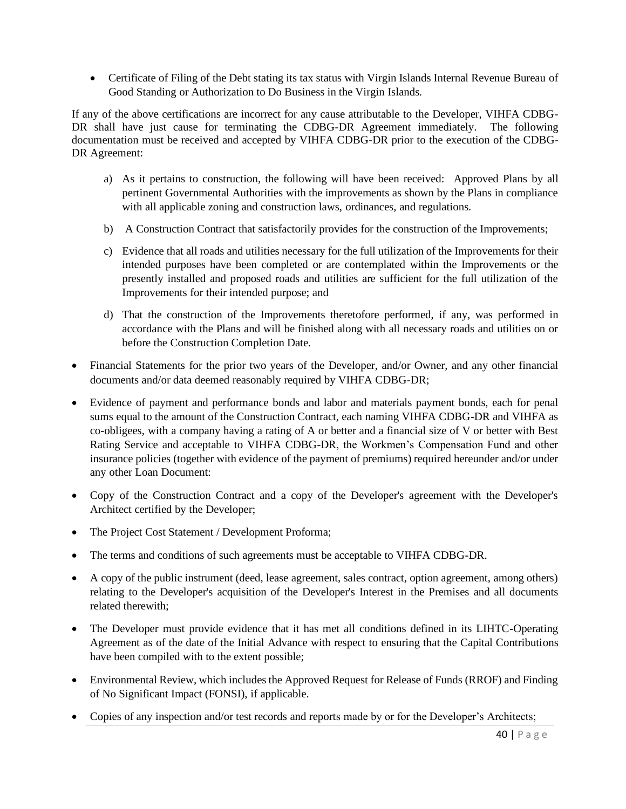• Certificate of Filing of the Debt stating its tax status with Virgin Islands Internal Revenue Bureau of Good Standing or Authorization to Do Business in the Virgin Islands.

If any of the above certifications are incorrect for any cause attributable to the Developer, VIHFA CDBG-DR shall have just cause for terminating the CDBG-DR Agreement immediately. The following documentation must be received and accepted by VIHFA CDBG-DR prior to the execution of the CDBG-DR Agreement:

- a) As it pertains to construction, the following will have been received: Approved Plans by all pertinent Governmental Authorities with the improvements as shown by the Plans in compliance with all applicable zoning and construction laws, ordinances, and regulations.
- b) A Construction Contract that satisfactorily provides for the construction of the Improvements;
- c) Evidence that all roads and utilities necessary for the full utilization of the Improvements for their intended purposes have been completed or are contemplated within the Improvements or the presently installed and proposed roads and utilities are sufficient for the full utilization of the Improvements for their intended purpose; and
- d) That the construction of the Improvements theretofore performed, if any, was performed in accordance with the Plans and will be finished along with all necessary roads and utilities on or before the Construction Completion Date.
- Financial Statements for the prior two years of the Developer, and/or Owner, and any other financial documents and/or data deemed reasonably required by VIHFA CDBG-DR;
- Evidence of payment and performance bonds and labor and materials payment bonds, each for penal sums equal to the amount of the Construction Contract, each naming VIHFA CDBG-DR and VIHFA as co-obligees, with a company having a rating of A or better and a financial size of V or better with Best Rating Service and acceptable to VIHFA CDBG-DR, the Workmen's Compensation Fund and other insurance policies (together with evidence of the payment of premiums) required hereunder and/or under any other Loan Document:
- Copy of the Construction Contract and a copy of the Developer's agreement with the Developer's Architect certified by the Developer;
- The Project Cost Statement / Development Proforma;
- The terms and conditions of such agreements must be acceptable to VIHFA CDBG-DR.
- A copy of the public instrument (deed, lease agreement, sales contract, option agreement, among others) relating to the Developer's acquisition of the Developer's Interest in the Premises and all documents related therewith;
- The Developer must provide evidence that it has met all conditions defined in its LIHTC-Operating Agreement as of the date of the Initial Advance with respect to ensuring that the Capital Contributions have been compiled with to the extent possible;
- Environmental Review, which includes the Approved Request for Release of Funds (RROF) and Finding of No Significant Impact (FONSI), if applicable.
- Copies of any inspection and/or test records and reports made by or for the Developer's Architects;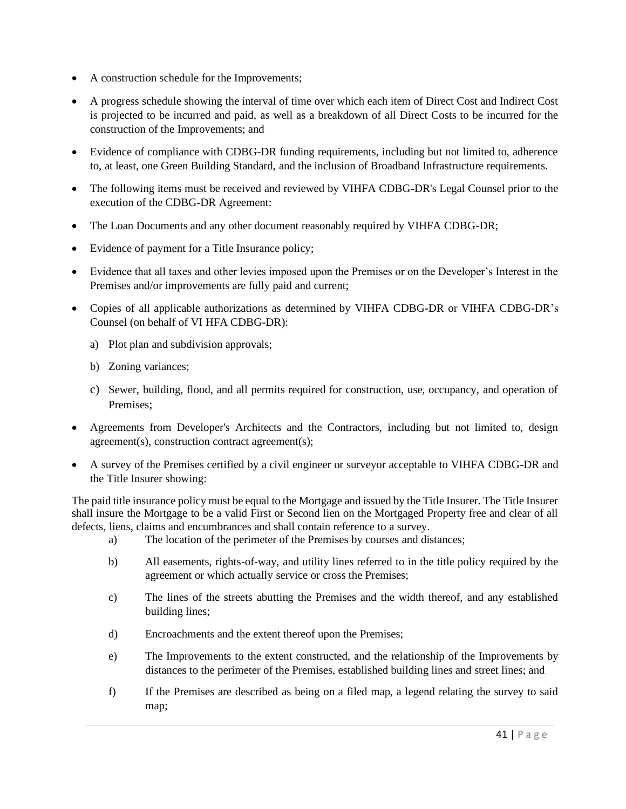- A construction schedule for the Improvements;
- A progress schedule showing the interval of time over which each item of Direct Cost and Indirect Cost is projected to be incurred and paid, as well as a breakdown of all Direct Costs to be incurred for the construction of the Improvements; and
- Evidence of compliance with CDBG-DR funding requirements, including but not limited to, adherence to, at least, one Green Building Standard, and the inclusion of Broadband Infrastructure requirements.
- The following items must be received and reviewed by VIHFA CDBG-DR's Legal Counsel prior to the execution of the CDBG-DR Agreement:
- The Loan Documents and any other document reasonably required by VIHFA CDBG-DR;
- Evidence of payment for a Title Insurance policy;
- Evidence that all taxes and other levies imposed upon the Premises or on the Developer's Interest in the Premises and/or improvements are fully paid and current;
- Copies of all applicable authorizations as determined by VIHFA CDBG-DR or VIHFA CDBG-DR's Counsel (on behalf of VI HFA CDBG-DR):
	- a) Plot plan and subdivision approvals;
	- b) Zoning variances;
	- c) Sewer, building, flood, and all permits required for construction, use, occupancy, and operation of Premises;
- Agreements from Developer's Architects and the Contractors, including but not limited to, design agreement(s), construction contract agreement(s);
- A survey of the Premises certified by a civil engineer or surveyor acceptable to VIHFA CDBG-DR and the Title Insurer showing:

The paid title insurance policy must be equal to the Mortgage and issued by the Title Insurer. The Title Insurer shall insure the Mortgage to be a valid First or Second lien on the Mortgaged Property free and clear of all defects, liens, claims and encumbrances and shall contain reference to a survey.

- a) The location of the perimeter of the Premises by courses and distances;
- b) All easements, rights-of-way, and utility lines referred to in the title policy required by the agreement or which actually service or cross the Premises;
- c) The lines of the streets abutting the Premises and the width thereof, and any established building lines;
- d) Encroachments and the extent thereof upon the Premises;
- e) The Improvements to the extent constructed, and the relationship of the Improvements by distances to the perimeter of the Premises, established building lines and street lines; and
- f) If the Premises are described as being on a filed map, a legend relating the survey to said map;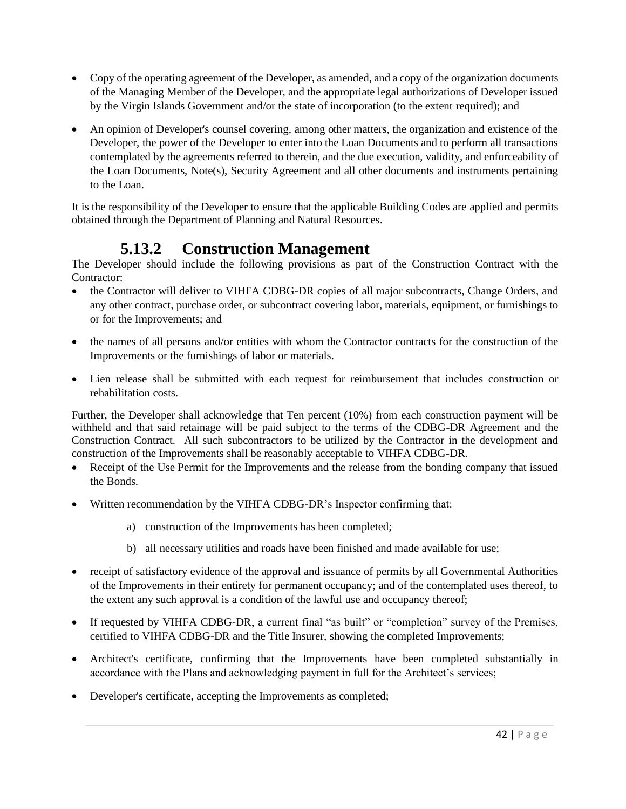- Copy of the operating agreement of the Developer, as amended, and a copy of the organization documents of the Managing Member of the Developer, and the appropriate legal authorizations of Developer issued by the Virgin Islands Government and/or the state of incorporation (to the extent required); and
- An opinion of Developer's counsel covering, among other matters, the organization and existence of the Developer, the power of the Developer to enter into the Loan Documents and to perform all transactions contemplated by the agreements referred to therein, and the due execution, validity, and enforceability of the Loan Documents, Note(s), Security Agreement and all other documents and instruments pertaining to the Loan.

It is the responsibility of the Developer to ensure that the applicable Building Codes are applied and permits obtained through the Department of Planning and Natural Resources.

### <span id="page-41-0"></span>**5.13.2 Construction Management**

The Developer should include the following provisions as part of the Construction Contract with the Contractor:

- the Contractor will deliver to VIHFA CDBG-DR copies of all major subcontracts, Change Orders, and any other contract, purchase order, or subcontract covering labor, materials, equipment, or furnishings to or for the Improvements; and
- the names of all persons and/or entities with whom the Contractor contracts for the construction of the Improvements or the furnishings of labor or materials.
- Lien release shall be submitted with each request for reimbursement that includes construction or rehabilitation costs.

Further, the Developer shall acknowledge that Ten percent (10%) from each construction payment will be withheld and that said retainage will be paid subject to the terms of the CDBG-DR Agreement and the Construction Contract. All such subcontractors to be utilized by the Contractor in the development and construction of the Improvements shall be reasonably acceptable to VIHFA CDBG-DR.

- Receipt of the Use Permit for the Improvements and the release from the bonding company that issued the Bonds.
- Written recommendation by the VIHFA CDBG-DR's Inspector confirming that:
	- a) construction of the Improvements has been completed;
	- b) all necessary utilities and roads have been finished and made available for use;
- receipt of satisfactory evidence of the approval and issuance of permits by all Governmental Authorities of the Improvements in their entirety for permanent occupancy; and of the contemplated uses thereof, to the extent any such approval is a condition of the lawful use and occupancy thereof;
- If requested by VIHFA CDBG-DR, a current final "as built" or "completion" survey of the Premises, certified to VIHFA CDBG-DR and the Title Insurer, showing the completed Improvements;
- Architect's certificate, confirming that the Improvements have been completed substantially in accordance with the Plans and acknowledging payment in full for the Architect's services;
- Developer's certificate, accepting the Improvements as completed;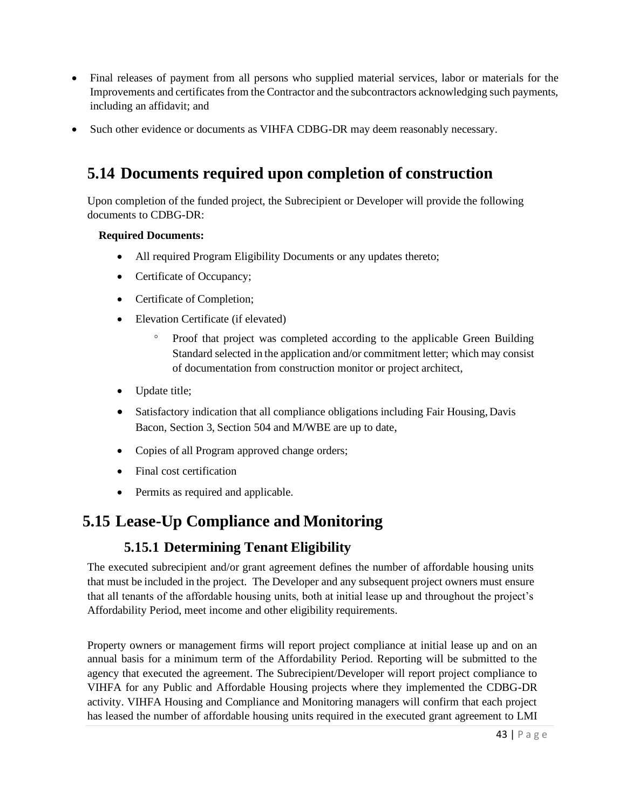- Final releases of payment from all persons who supplied material services, labor or materials for the Improvements and certificates from the Contractor and the subcontractors acknowledging such payments, including an affidavit; and
- Such other evidence or documents as VIHFA CDBG-DR may deem reasonably necessary.

### <span id="page-42-0"></span>**5.14 Documents required upon completion of construction**

Upon completion of the funded project, the Subrecipient or Developer will provide the following documents to CDBG-DR:

#### **Required Documents:**

- All required Program Eligibility Documents or any updates thereto;
- Certificate of Occupancy;
- Certificate of Completion;
- Elevation Certificate (if elevated)
	- Proof that project was completed according to the applicable Green Building Standard selected in the application and/or commitment letter; which may consist of documentation from construction monitor or project architect,
- Update title;
- Satisfactory indication that all compliance obligations including Fair Housing, Davis Bacon, Section 3, Section 504 and M/WBE are up to date,
- Copies of all Program approved change orders;
- Final cost certification
- Permits as required and applicable.

#### <span id="page-42-1"></span>**5.15 Lease-Up Compliance and Monitoring**

#### **5.15.1 Determining Tenant Eligibility**

The executed subrecipient and/or grant agreement defines the number of affordable housing units that must be included in the project. The Developer and any subsequent project owners must ensure that all tenants of the affordable housing units, both at initial lease up and throughout the project's Affordability Period, meet income and other eligibility requirements.

Property owners or management firms will report project compliance at initial lease up and on an annual basis for a minimum term of the Affordability Period. Reporting will be submitted to the agency that executed the agreement. The Subrecipient/Developer will report project compliance to VIHFA for any Public and Affordable Housing projects where they implemented the CDBG-DR activity. VIHFA Housing and Compliance and Monitoring managers will confirm that each project has leased the number of affordable housing units required in the executed grant agreement to LMI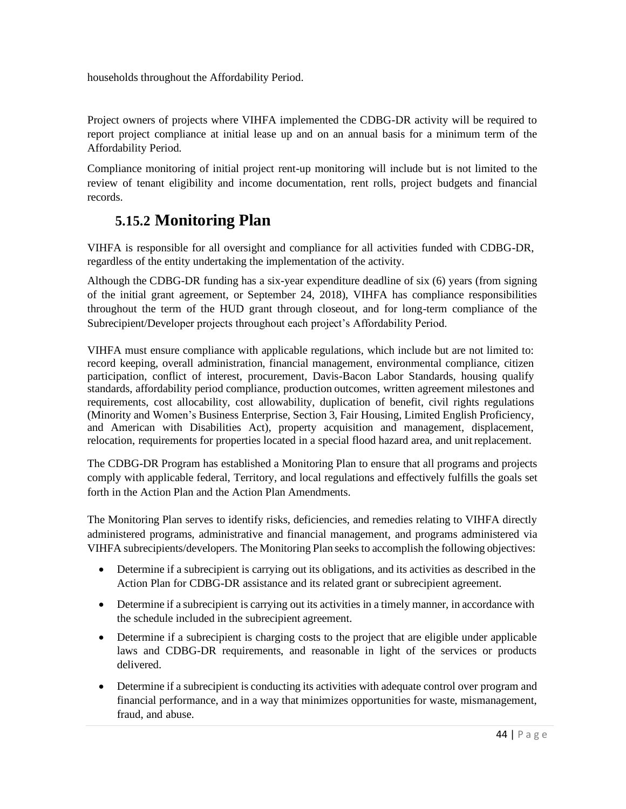households throughout the Affordability Period.

Project owners of projects where VIHFA implemented the CDBG-DR activity will be required to report project compliance at initial lease up and on an annual basis for a minimum term of the Affordability Period.

Compliance monitoring of initial project rent-up monitoring will include but is not limited to the review of tenant eligibility and income documentation, rent rolls, project budgets and financial records.

#### **5.15.2 Monitoring Plan**

VIHFA is responsible for all oversight and compliance for all activities funded with CDBG-DR, regardless of the entity undertaking the implementation of the activity.

Although the CDBG-DR funding has a six-year expenditure deadline of six (6) years (from signing of the initial grant agreement, or September 24, 2018), VIHFA has compliance responsibilities throughout the term of the HUD grant through closeout, and for long-term compliance of the Subrecipient/Developer projects throughout each project's Affordability Period.

VIHFA must ensure compliance with applicable regulations, which include but are not limited to: record keeping, overall administration, financial management, environmental compliance, citizen participation, conflict of interest, procurement, Davis-Bacon Labor Standards, housing qualify standards, affordability period compliance, production outcomes, written agreement milestones and requirements, cost allocability, cost allowability, duplication of benefit, civil rights regulations (Minority and Women's Business Enterprise, Section 3, Fair Housing, Limited English Proficiency, and American with Disabilities Act), property acquisition and management, displacement, relocation, requirements for properties located in a special flood hazard area, and unitreplacement.

The CDBG-DR Program has established a Monitoring Plan to ensure that all programs and projects comply with applicable federal, Territory, and local regulations and effectively fulfills the goals set forth in the Action Plan and the Action Plan Amendments.

The Monitoring Plan serves to identify risks, deficiencies, and remedies relating to VIHFA directly administered programs, administrative and financial management, and programs administered via VIHFA subrecipients/developers. The Monitoring Plan seeks to accomplish the following objectives:

- Determine if a subrecipient is carrying out its obligations, and its activities as described in the Action Plan for CDBG-DR assistance and its related grant or subrecipient agreement.
- Determine if a subrecipient is carrying out its activities in a timely manner, in accordance with the schedule included in the subrecipient agreement.
- Determine if a subrecipient is charging costs to the project that are eligible under applicable laws and CDBG-DR requirements, and reasonable in light of the services or products delivered.
- Determine if a subrecipient is conducting its activities with adequate control over program and financial performance, and in a way that minimizes opportunities for waste, mismanagement, fraud, and abuse.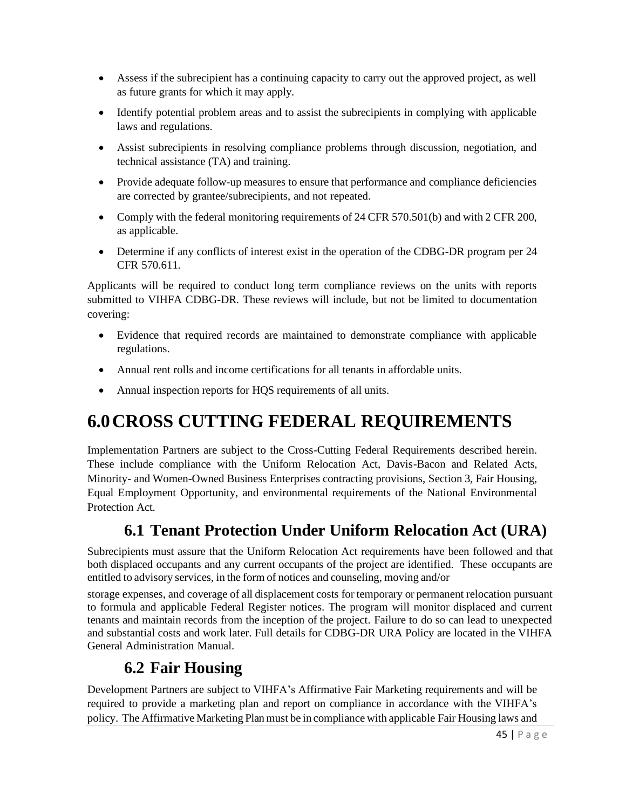- Assess if the subrecipient has a continuing capacity to carry out the approved project, as well as future grants for which it may apply.
- Identify potential problem areas and to assist the subrecipients in complying with applicable laws and regulations.
- Assist subrecipients in resolving compliance problems through discussion, negotiation, and technical assistance (TA) and training.
- Provide adequate follow-up measures to ensure that performance and compliance deficiencies are corrected by grantee/subrecipients, and not repeated.
- Comply with the federal monitoring requirements of 24 CFR 570.501(b) and with 2 CFR 200, as applicable.
- Determine if any conflicts of interest exist in the operation of the CDBG-DR program per 24 CFR 570.611.

Applicants will be required to conduct long term compliance reviews on the units with reports submitted to VIHFA CDBG-DR. These reviews will include, but not be limited to documentation covering:

- Evidence that required records are maintained to demonstrate compliance with applicable regulations.
- Annual rent rolls and income certifications for all tenants in affordable units.
- Annual inspection reports for HQS requirements of all units.

# <span id="page-44-0"></span>**6.0CROSS CUTTING FEDERAL REQUIREMENTS**

Implementation Partners are subject to the Cross-Cutting Federal Requirements described herein. These include compliance with the Uniform Relocation Act, Davis-Bacon and Related Acts, Minority- and Women-Owned Business Enterprises contracting provisions, Section 3, Fair Housing, Equal Employment Opportunity, and environmental requirements of the National Environmental Protection Act.

## **6.1 Tenant Protection Under Uniform Relocation Act (URA)**

Subrecipients must assure that the Uniform Relocation Act requirements have been followed and that both displaced occupants and any current occupants of the project are identified. These occupants are entitled to advisory services, in the form of notices and counseling, moving and/or

storage expenses, and coverage of all displacement costs for temporary or permanent relocation pursuant to formula and applicable Federal Register notices. The program will monitor displaced and current tenants and maintain records from the inception of the project. Failure to do so can lead to unexpected and substantial costs and work later. Full details for CDBG-DR URA Policy are located in the VIHFA General Administration Manual.

#### **6.2 Fair Housing**

Development Partners are subject to VIHFA's Affirmative Fair Marketing requirements and will be required to provide a marketing plan and report on compliance in accordance with the VIHFA's policy. The Affirmative Marketing Planmust be in compliance with applicable Fair Housing laws and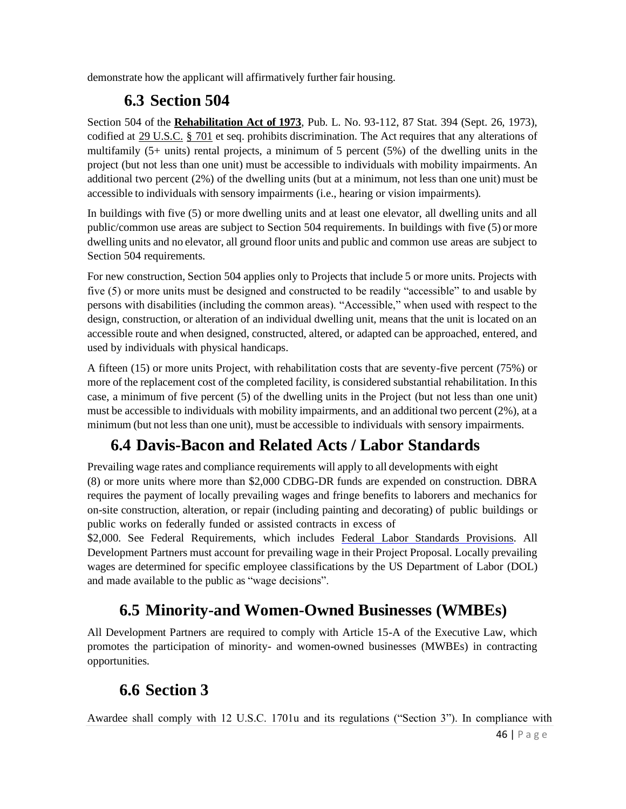demonstrate how the applicant will affirmatively further fair housing.

# **6.3 Section 504**

Section 504 of the **[Rehabilitation Act of 1973](https://en.wikipedia.org/wiki/Rehabilitation_Act_of_1973)**, Pub. L. No. 93-112, 87 Stat. 394 (Sept. 26, 1973), codified at 29 [U.S.C.](https://en.wikipedia.org/wiki/Title_29_of_the_United_States_Code) § [701](https://www.law.cornell.edu/uscode/text/29/701) et seq. prohibits discrimination. The Act requires that any alterations of multifamily (5+ units) rental projects, a minimum of 5 percent (5%) of the dwelling units in the project (but not less than one unit) must be accessible to individuals with mobility impairments. An additional two percent (2%) of the dwelling units (but at a minimum, not less than one unit) must be accessible to individuals with sensory impairments (i.e., hearing or vision impairments).

In buildings with five (5) or more dwelling units and at least one elevator, all dwelling units and all public/common use areas are subject to Section 504 requirements. In buildings with five (5) or more dwelling units and no elevator, all ground floor units and public and common use areas are subject to Section 504 requirements.

For new construction, Section 504 applies only to Projects that include 5 or more units. Projects with five (5) or more units must be designed and constructed to be readily "accessible" to and usable by persons with disabilities (including the common areas). "Accessible," when used with respect to the design, construction, or alteration of an individual dwelling unit, means that the unit is located on an accessible route and when designed, constructed, altered, or adapted can be approached, entered, and used by individuals with physical handicaps.

A fifteen (15) or more units Project, with rehabilitation costs that are seventy-five percent (75%) or more of the replacement cost of the completed facility, is considered substantial rehabilitation. In this case, a minimum of five percent (5) of the dwelling units in the Project (but not less than one unit) must be accessible to individuals with mobility impairments, and an additional two percent (2%), at a minimum (but not less than one unit), must be accessible to individuals with sensory impairments.

## **6.4 Davis-Bacon and Related Acts / Labor Standards**

Prevailing wage rates and compliance requirements will apply to all developments with eight (8) or more units where more than \$2,000 CDBG-DR funds are expended on construction. DBRA requires the payment of locally prevailing wages and fringe benefits to laborers and mechanics for on-site construction, alteration, or repair (including painting and decorating) of public buildings or public works on federally funded or assisted contracts in excess of

\$2,000. See Federal Requirements, which includes [Federal Labor Standards Provisions. A](http://www.nyshcr.org/AboutUs/training/06seminar4_HUD_4010.pdf)ll Development Partners must account for prevailing wage in their Project Proposal. Locally prevailing wages are determined for specific employee classifications by the US Department of Labor (DOL) and made available to the public as "wage decisions".

### **6.5 Minority-and Women-Owned Businesses (WMBEs)**

All Development Partners are required to comply with Article 15-A of the Executive Law, which promotes the participation of minority- and women-owned businesses (MWBEs) in contracting opportunities.

## **6.6 Section 3**

Awardee shall comply with 12 U.S.C. 1701u and its regulations ("Section 3"). In compliance with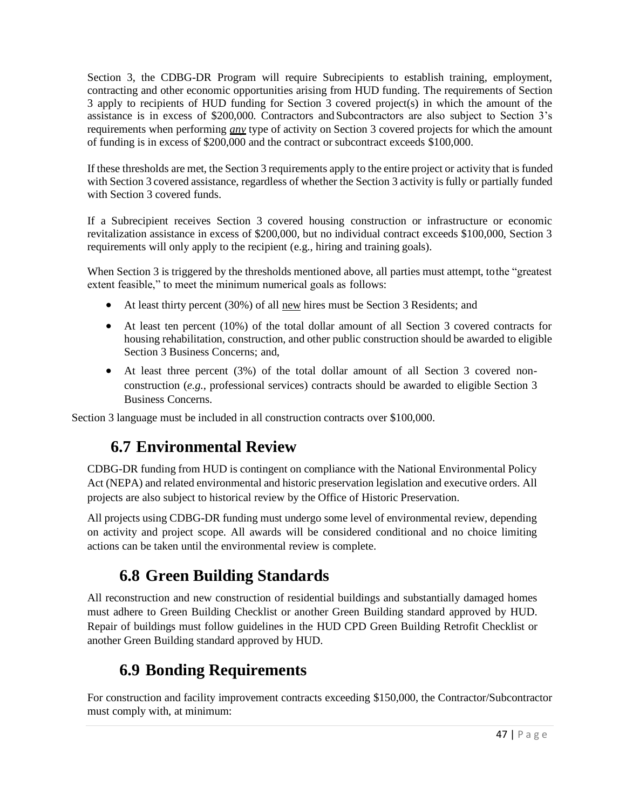Section 3, the CDBG-DR Program will require Subrecipients to establish training, employment, contracting and other economic opportunities arising from HUD funding. The requirements of Section 3 apply to recipients of HUD funding for Section 3 covered project(s) in which the amount of the assistance is in excess of \$200,000. Contractors and Subcontractors are also subject to Section 3's requirements when performing *any* type of activity on Section 3 covered projects for which the amount of funding is in excess of \$200,000 and the contract or subcontract exceeds \$100,000.

If these thresholds are met, the Section 3 requirements apply to the entire project or activity that is funded with Section 3 covered assistance, regardless of whether the Section 3 activity is fully or partially funded with Section 3 covered funds.

If a Subrecipient receives Section 3 covered housing construction or infrastructure or economic revitalization assistance in excess of \$200,000, but no individual contract exceeds \$100,000, Section 3 requirements will only apply to the recipient (e.g., hiring and training goals).

When Section 3 is triggered by the thresholds mentioned above, all parties must attempt, tothe "greatest extent feasible," to meet the minimum numerical goals as follows:

- At least thirty percent (30%) of all new hires must be Section 3 Residents; and
- At least ten percent (10%) of the total dollar amount of all Section 3 covered contracts for housing rehabilitation, construction, and other public construction should be awarded to eligible Section 3 Business Concerns; and,
- At least three percent (3%) of the total dollar amount of all Section 3 covered nonconstruction (*e.g*., professional services) contracts should be awarded to eligible Section 3 Business Concerns.

Section 3 language must be included in all construction contracts over \$100,000.

## **6.7 Environmental Review**

CDBG-DR funding from HUD is contingent on compliance with the National Environmental Policy Act (NEPA) and related environmental and historic preservation legislation and executive orders. All projects are also subject to historical review by the Office of Historic Preservation.

All projects using CDBG-DR funding must undergo some level of environmental review, depending on activity and project scope. All awards will be considered conditional and no choice limiting actions can be taken until the environmental review is complete.

#### **6.8 Green Building Standards**

All reconstruction and new construction of residential buildings and substantially damaged homes must adhere to Green Building Checklist or another Green Building standard approved by HUD. Repair of buildings must follow guidelines in the [HUD CPD Green](https://www.hudexchange.info/resource/3684/guidance-on-the-cpd-green-building-checklist/) [Building Retrofit Checklist or](https://www.hudexchange.info/resource/3684/guidance-on-the-cpd-green-building-checklist/)  [another Green Building standard approved by HUD.](https://www.hudexchange.info/resource/3684/guidance-on-the-cpd-green-building-checklist/)

## **6.9 Bonding Requirements**

For construction and facility improvement contracts exceeding \$150,000, the Contractor/Subcontractor must comply with, at minimum: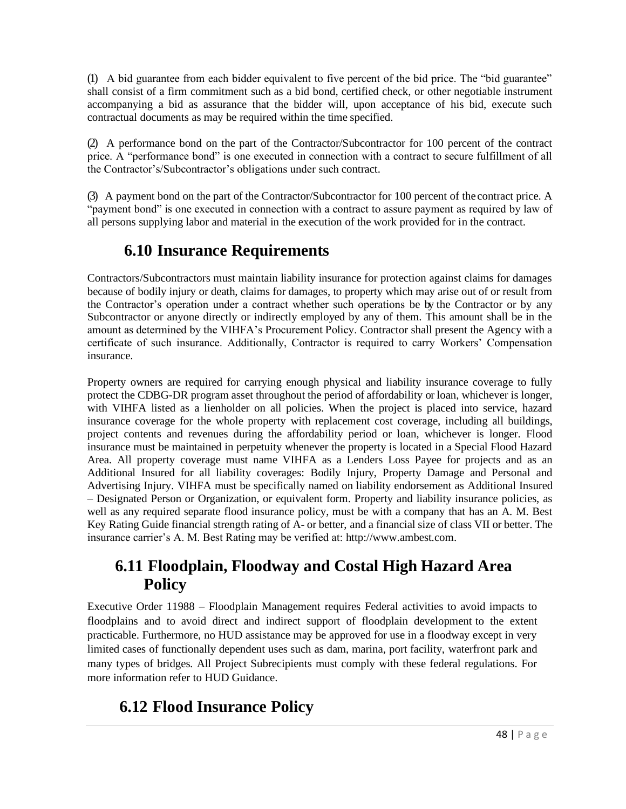(1) A bid guarantee from each bidder equivalent to five percent of the bid price. The "bid guarantee" shall consist of a firm commitment such as a bid bond, certified check, or other negotiable instrument accompanying a bid as assurance that the bidder will, upon acceptance of his bid, execute such contractual documents as may be required within the time specified.

(2) A performance bond on the part of the Contractor/Subcontractor for 100 percent of the contract price. A "performance bond" is one executed in connection with a contract to secure fulfillment of all the Contractor's/Subcontractor's obligations under such contract.

(3) A payment bond on the part of the Contractor/Subcontractor for 100 percent of the contract price. A "payment bond" is one executed in connection with a contract to assure payment as required by law of all persons supplying labor and material in the execution of the work provided for in the contract.

### **6.10 Insurance Requirements**

Contractors/Subcontractors must maintain liability insurance for protection against claims for damages because of bodily injury or death, claims for damages, to property which may arise out of or result from the Contractor's operation under a contract whether such operations be by the Contractor or by any Subcontractor or anyone directly or indirectly employed by any of them. This amount shall be in the amount as determined by the VIHFA's Procurement Policy. Contractor shall present the Agency with a certificate of such insurance. Additionally, Contractor is required to carry Workers' Compensation insurance.

Property owners are required for carrying enough physical and liability insurance coverage to fully protect the CDBG-DR program asset throughout the period of affordability or loan, whichever is longer, with VIHFA listed as a lienholder on all policies. When the project is placed into service, hazard insurance coverage for the whole property with replacement cost coverage, including all buildings, project contents and revenues during the affordability period or loan, whichever is longer. Flood insurance must be maintained in perpetuity whenever the property is located in a Special Flood Hazard Area. All property coverage must name VIHFA as a Lenders Loss Payee for projects and as an Additional Insured for all liability coverages: Bodily Injury, Property Damage and Personal and Advertising Injury. VIHFA must be specifically named on liability endorsement as Additional Insured – Designated Person or Organization, or equivalent form. Property and liability insurance policies, as well as any required separate flood insurance policy, must be with a company that has an A. M. Best Key Rating Guide financial strength rating of A- or better, and a financial size of class VII or better. The insurance carrier's A. M. Best Rating may be verified at: [http://www.ambest.com.](http://www.ambest.com/)

#### **6.11 Floodplain, Floodway and Costal High Hazard Area Policy**

[Executive Order 11988 –](http://www.fema.gov/environmental-planning-and-historic-preservation-program/executive-order-11988-floodplain-management) Floodplain Management requires Federal activities to avoid impacts to floodplains and to avoid direct and indirect support of floodplain development to the extent practicable. Furthermore, no HUD assistance may be approved for use in a floodway except in very limited cases of functionally dependent uses such as dam, marina, port facility, waterfront park and many types of bridges. All Project Subrecipients must comply with these federal regulations. For more information refer to HUD [Guidance.](https://www.hudexchange.info/environmental-review/floodplain-management)

### **6.12 Flood Insurance Policy**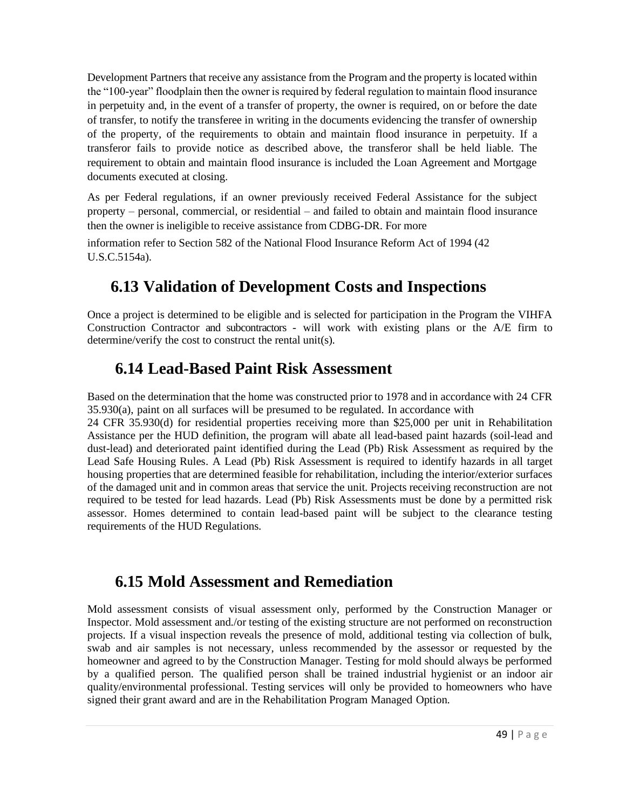Development Partners that receive any assistance from the Program and the property is located within the "100-year" floodplain then the owner is required by federal regulation to maintain flood insurance in perpetuity and, in the event of a transfer of property, the owner is required, on or before the date of transfer, to notify the transferee in writing in the documents evidencing the transfer of ownership of the property, of the requirements to obtain and maintain flood insurance in perpetuity. If a transferor fails to provide notice as described above, the transferor shall be held liable. The requirement to obtain and maintain flood insurance is included the Loan Agreement and Mortgage documents executed at closing.

As per Federal regulations, if an owner previously received Federal Assistance for the subject property – personal, commercial, or residential – and failed to obtain and maintain flood insurance then the owner is ineligible to receive assistance from CDBG-DR. For more

information refer to Section 582 of the National Flood Insurance Reform Act of 1994 (42 U.S.C.5154a).

### **6.13 Validation of Development Costs and Inspections**

Once a project is determined to be eligible and is selected for participation in the Program the VIHFA Construction Contractor and subcontractors - will work with existing plans or the A/E firm to determine/verify the cost to construct the rental unit(s).

#### **6.14 Lead-Based Paint Risk Assessment**

Based on the determination that the home was constructed prior to 1978 and in accordance with 24 CFR 35.930(a), paint on all surfaces will be presumed to be regulated. In accordance with

24 CFR 35.930(d) for residential properties receiving more than \$25,000 per unit in Rehabilitation Assistance per the HUD definition, the program will abate all lead-based paint hazards (soil-lead and dust-lead) and deteriorated paint identified during the Lead (Pb) Risk Assessment as required by the Lead Safe Housing Rules. A Lead (Pb) Risk Assessment is required to identify hazards in all target housing properties that are determined feasible for rehabilitation, including the interior/exterior surfaces of the damaged unit and in common areas that service the unit. Projects receiving reconstruction are not required to be tested for lead hazards. Lead (Pb) Risk Assessments must be done by a permitted risk assessor. Homes determined to contain lead-based paint will be subject to the clearance testing requirements of the HUD Regulations.

#### **6.15 Mold Assessment and Remediation**

Mold assessment consists of visual assessment only, performed by the Construction Manager or Inspector. Mold assessment and./or testing of the existing structure are not performed on reconstruction projects. If a visual inspection reveals the presence of mold, additional testing via collection of bulk, swab and air samples is not necessary, unless recommended by the assessor or requested by the homeowner and agreed to by the Construction Manager. Testing for mold should always be performed by a qualified person. The qualified person shall be trained industrial hygienist or an indoor air quality/environmental professional. Testing services will only be provided to homeowners who have signed their grant award and are in the Rehabilitation Program Managed Option.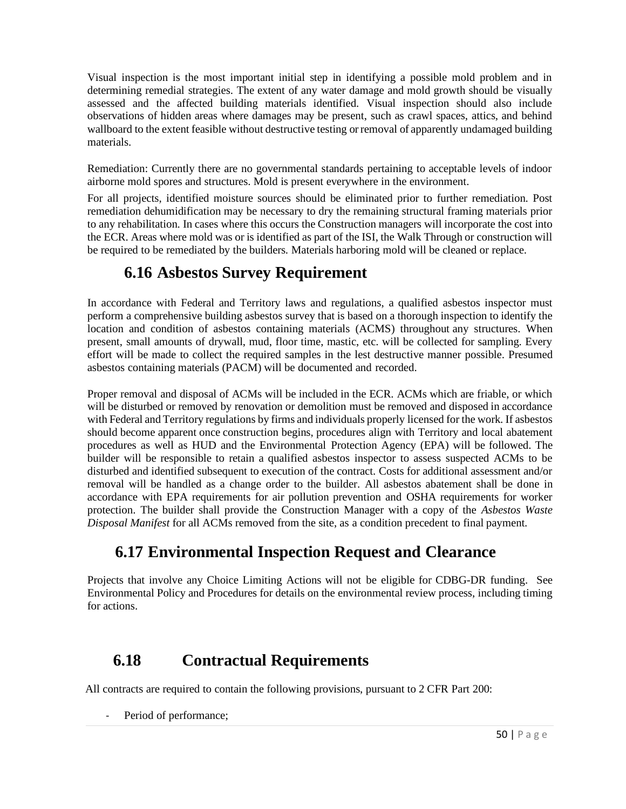Visual inspection is the most important initial step in identifying a possible mold problem and in determining remedial strategies. The extent of any water damage and mold growth should be visually assessed and the affected building materials identified. Visual inspection should also include observations of hidden areas where damages may be present, such as crawl spaces, attics, and behind wallboard to the extent feasible without destructive testing or removal of apparently undamaged building materials.

Remediation: Currently there are no governmental standards pertaining to acceptable levels of indoor airborne mold spores and structures. Mold is present everywhere in the environment.

For all projects, identified moisture sources should be eliminated prior to further remediation. Post remediation dehumidification may be necessary to dry the remaining structural framing materials prior to any rehabilitation. In cases where this occurs the Construction managers will incorporate the cost into the ECR. Areas where mold was or is identified as part of the ISI, the Walk Through or construction will be required to be remediated by the builders. Materials harboring mold will be cleaned or replace.

#### **6.16 Asbestos Survey Requirement**

In accordance with Federal and Territory laws and regulations, a qualified asbestos inspector must perform a comprehensive building asbestos survey that is based on a thorough inspection to identify the location and condition of asbestos containing materials (ACMS) throughout any structures. When present, small amounts of drywall, mud, floor time, mastic, etc. will be collected for sampling. Every effort will be made to collect the required samples in the lest destructive manner possible. Presumed asbestos containing materials (PACM) will be documented and recorded.

Proper removal and disposal of ACMs will be included in the ECR. ACMs which are friable, or which will be disturbed or removed by renovation or demolition must be removed and disposed in accordance with Federal and Territory regulations by firms and individuals properly licensed for the work. If asbestos should become apparent once construction begins, procedures align with Territory and local abatement procedures as well as HUD and the Environmental Protection Agency (EPA) will be followed. The builder will be responsible to retain a qualified asbestos inspector to assess suspected ACMs to be disturbed and identified subsequent to execution of the contract. Costs for additional assessment and/or removal will be handled as a change order to the builder. All asbestos abatement shall be done in accordance with EPA requirements for air pollution prevention and OSHA requirements for worker protection. The builder shall provide the Construction Manager with a copy of the *Asbestos Waste Disposal Manifest* for all ACMs removed from the site, as a condition precedent to final payment.

### **6.17 Environmental Inspection Request and Clearance**

Projects that involve any Choice Limiting Actions will not be eligible for CDBG-DR funding. See Environmental Policy and Procedures for details on the environmental review process, including timing for actions.

#### **6.18 Contractual Requirements**

All contracts are required to contain the following provisions, pursuant to 2 CFR Part 200:

Period of performance;